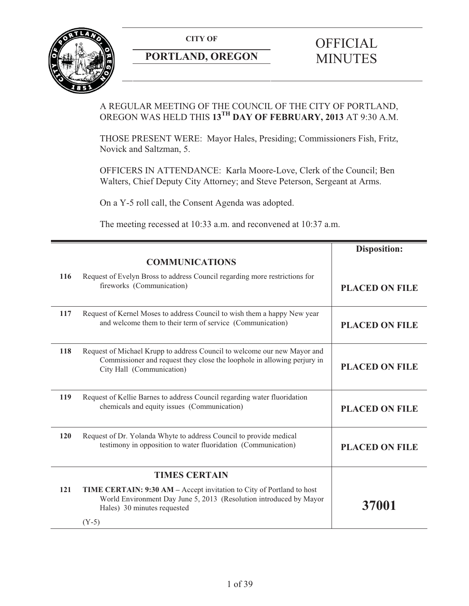**CITY OF** 



## **PORTLAND, OREGON**

# **OFFICIAL** MINUTES

## A REGULAR MEETING OF THE COUNCIL OF THE CITY OF PORTLAND, OREGON WAS HELD THIS **13TH DAY OF FEBRUARY, 2013** AT 9:30 A.M.

THOSE PRESENT WERE: Mayor Hales, Presiding; Commissioners Fish, Fritz, Novick and Saltzman, 5.

OFFICERS IN ATTENDANCE: Karla Moore-Love, Clerk of the Council; Ben Walters, Chief Deputy City Attorney; and Steve Peterson, Sergeant at Arms.

On a Y-5 roll call, the Consent Agenda was adopted.

The meeting recessed at 10:33 a.m. and reconvened at 10:37 a.m.

|     |                                                                                                                                                                                   | <b>Disposition:</b>   |
|-----|-----------------------------------------------------------------------------------------------------------------------------------------------------------------------------------|-----------------------|
|     | <b>COMMUNICATIONS</b>                                                                                                                                                             |                       |
| 116 | Request of Evelyn Bross to address Council regarding more restrictions for<br>fireworks (Communication)                                                                           | <b>PLACED ON FILE</b> |
| 117 | Request of Kernel Moses to address Council to wish them a happy New year<br>and welcome them to their term of service (Communication)                                             | <b>PLACED ON FILE</b> |
| 118 | Request of Michael Krupp to address Council to welcome our new Mayor and<br>Commissioner and request they close the loophole in allowing perjury in<br>City Hall (Communication)  | <b>PLACED ON FILE</b> |
| 119 | Request of Kellie Barnes to address Council regarding water fluoridation<br>chemicals and equity issues (Communication)                                                           | <b>PLACED ON FILE</b> |
| 120 | Request of Dr. Yolanda Whyte to address Council to provide medical<br>testimony in opposition to water fluoridation (Communication)                                               | <b>PLACED ON FILE</b> |
|     | <b>TIMES CERTAIN</b>                                                                                                                                                              |                       |
| 121 | <b>TIME CERTAIN: 9:30 AM – Accept invitation to City of Portland to host</b><br>World Environment Day June 5, 2013 (Resolution introduced by Mayor<br>Hales) 30 minutes requested | 37001                 |
|     | $(Y-5)$                                                                                                                                                                           |                       |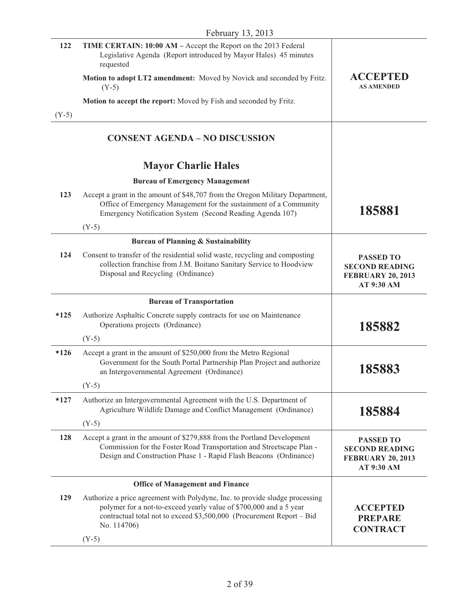| 122     | TIME CERTAIN: 10:00 AM – Accept the Report on the 2013 Federal<br>Legislative Agenda (Report introduced by Mayor Hales) 45 minutes<br>requested                                                                                                       |                                                                                     |
|---------|-------------------------------------------------------------------------------------------------------------------------------------------------------------------------------------------------------------------------------------------------------|-------------------------------------------------------------------------------------|
|         | Motion to adopt LT2 amendment: Moved by Novick and seconded by Fritz.<br>$(Y-5)$                                                                                                                                                                      | <b>ACCEPTED</b><br><b>AS AMENDED</b>                                                |
|         | Motion to accept the report: Moved by Fish and seconded by Fritz.                                                                                                                                                                                     |                                                                                     |
| $(Y-5)$ |                                                                                                                                                                                                                                                       |                                                                                     |
|         | <b>CONSENT AGENDA - NO DISCUSSION</b>                                                                                                                                                                                                                 |                                                                                     |
|         | <b>Mayor Charlie Hales</b>                                                                                                                                                                                                                            |                                                                                     |
|         | <b>Bureau of Emergency Management</b>                                                                                                                                                                                                                 |                                                                                     |
| 123     | Accept a grant in the amount of \$48,707 from the Oregon Military Department,<br>Office of Emergency Management for the sustainment of a Community<br>Emergency Notification System (Second Reading Agenda 107)                                       | 185881                                                                              |
|         | $(Y-5)$                                                                                                                                                                                                                                               |                                                                                     |
|         | <b>Bureau of Planning &amp; Sustainability</b>                                                                                                                                                                                                        |                                                                                     |
| 124     | Consent to transfer of the residential solid waste, recycling and composting<br>collection franchise from J.M. Boitano Sanitary Service to Hoodview<br>Disposal and Recycling (Ordinance)                                                             | <b>PASSED TO</b><br><b>SECOND READING</b><br><b>FEBRUARY 20, 2013</b><br>AT 9:30 AM |
|         | <b>Bureau of Transportation</b>                                                                                                                                                                                                                       |                                                                                     |
|         |                                                                                                                                                                                                                                                       |                                                                                     |
| $*125$  | Authorize Asphaltic Concrete supply contracts for use on Maintenance<br>Operations projects (Ordinance)                                                                                                                                               | 185882                                                                              |
|         | $(Y-5)$                                                                                                                                                                                                                                               |                                                                                     |
| $*126$  | Accept a grant in the amount of \$250,000 from the Metro Regional<br>Government for the South Portal Partnership Plan Project and authorize<br>an Intergovernmental Agreement (Ordinance)                                                             | 185883                                                                              |
|         | $(Y-5)$                                                                                                                                                                                                                                               |                                                                                     |
| $*127$  | Authorize an Intergovernmental Agreement with the U.S. Department of<br>Agriculture Wildlife Damage and Conflict Management (Ordinance)<br>$(Y-5)$                                                                                                    | 185884                                                                              |
| 128     | Accept a grant in the amount of \$279,888 from the Portland Development<br>Commission for the Foster Road Transportation and Streetscape Plan -<br>Design and Construction Phase 1 - Rapid Flash Beacons (Ordinance)                                  | <b>PASSED TO</b><br><b>SECOND READING</b><br><b>FEBRUARY 20, 2013</b><br>AT 9:30 AM |
|         | <b>Office of Management and Finance</b>                                                                                                                                                                                                               |                                                                                     |
| 129     | Authorize a price agreement with Polydyne, Inc. to provide sludge processing<br>polymer for a not-to-exceed yearly value of \$700,000 and a 5 year<br>contractual total not to exceed \$3,500,000 (Procurement Report - Bid<br>No. 114706)<br>$(Y-5)$ | <b>ACCEPTED</b><br><b>PREPARE</b><br><b>CONTRACT</b>                                |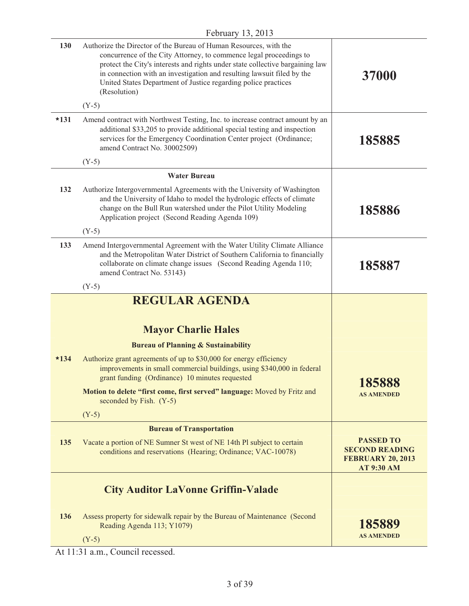| 130    | Authorize the Director of the Bureau of Human Resources, with the<br>concurrence of the City Attorney, to commence legal proceedings to<br>protect the City's interests and rights under state collective bargaining law<br>in connection with an investigation and resulting lawsuit filed by the<br>United States Department of Justice regarding police practices<br>(Resolution) | 37000                                                                                      |
|--------|--------------------------------------------------------------------------------------------------------------------------------------------------------------------------------------------------------------------------------------------------------------------------------------------------------------------------------------------------------------------------------------|--------------------------------------------------------------------------------------------|
|        | $(Y-5)$                                                                                                                                                                                                                                                                                                                                                                              |                                                                                            |
| $*131$ | Amend contract with Northwest Testing, Inc. to increase contract amount by an<br>additional \$33,205 to provide additional special testing and inspection<br>services for the Emergency Coordination Center project (Ordinance;<br>amend Contract No. 30002509)                                                                                                                      | 185885                                                                                     |
|        | $(Y-5)$                                                                                                                                                                                                                                                                                                                                                                              |                                                                                            |
|        | <b>Water Bureau</b>                                                                                                                                                                                                                                                                                                                                                                  |                                                                                            |
| 132    | Authorize Intergovernmental Agreements with the University of Washington<br>and the University of Idaho to model the hydrologic effects of climate<br>change on the Bull Run watershed under the Pilot Utility Modeling<br>Application project (Second Reading Agenda 109)                                                                                                           | 185886                                                                                     |
|        | $(Y-5)$                                                                                                                                                                                                                                                                                                                                                                              |                                                                                            |
| 133    | Amend Intergovernmental Agreement with the Water Utility Climate Alliance<br>and the Metropolitan Water District of Southern California to financially<br>collaborate on climate change issues (Second Reading Agenda 110;<br>amend Contract No. 53143)                                                                                                                              | 185887                                                                                     |
|        | $(Y-5)$                                                                                                                                                                                                                                                                                                                                                                              |                                                                                            |
|        | <b>REGULAR AGENDA</b>                                                                                                                                                                                                                                                                                                                                                                |                                                                                            |
|        | <b>Mayor Charlie Hales</b>                                                                                                                                                                                                                                                                                                                                                           |                                                                                            |
|        | <b>Bureau of Planning &amp; Sustainability</b>                                                                                                                                                                                                                                                                                                                                       |                                                                                            |
| $*134$ | Authorize grant agreements of up to \$30,000 for energy efficiency<br>improvements in small commercial buildings, using \$340,000 in federal<br>grant funding (Ordinance) 10 minutes requested                                                                                                                                                                                       | 185888                                                                                     |
|        | Motion to delete "first come, first served" language: Moved by Fritz and<br>seconded by Fish. (Y-5)                                                                                                                                                                                                                                                                                  | <b>AS AMENDED</b>                                                                          |
|        | $(Y-5)$                                                                                                                                                                                                                                                                                                                                                                              |                                                                                            |
|        | <b>Bureau of Transportation</b>                                                                                                                                                                                                                                                                                                                                                      |                                                                                            |
| 135    | Vacate a portion of NE Sumner St west of NE 14th Pl subject to certain<br>conditions and reservations (Hearing; Ordinance; VAC-10078)                                                                                                                                                                                                                                                | <b>PASSED TO</b><br><b>SECOND READING</b><br><b>FEBRUARY 20, 2013</b><br><b>AT 9:30 AM</b> |
|        | <b>City Auditor LaVonne Griffin-Valade</b>                                                                                                                                                                                                                                                                                                                                           |                                                                                            |
| 136    | Assess property for sidewalk repair by the Bureau of Maintenance (Second<br>Reading Agenda 113; Y1079)<br>$(Y-5)$                                                                                                                                                                                                                                                                    | 185889<br><b>AS AMENDED</b>                                                                |
|        |                                                                                                                                                                                                                                                                                                                                                                                      |                                                                                            |

At 11:31 a.m., Council recessed.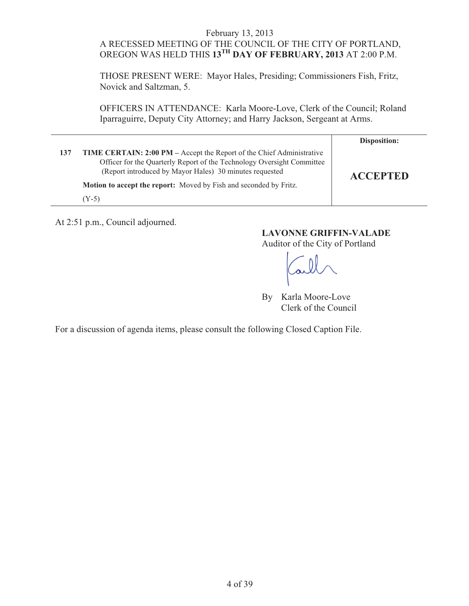## A RECESSED MEETING OF THE COUNCIL OF THE CITY OF PORTLAND, OREGON WAS HELD THIS **13TH DAY OF FEBRUARY, 2013** AT 2:00 P.M.

THOSE PRESENT WERE: Mayor Hales, Presiding; Commissioners Fish, Fritz, Novick and Saltzman, 5.

OFFICERS IN ATTENDANCE: Karla Moore-Love, Clerk of the Council; Roland Iparraguirre, Deputy City Attorney; and Harry Jackson, Sergeant at Arms.

|     |                                                                                                                                                                                                                   | Disposition:    |
|-----|-------------------------------------------------------------------------------------------------------------------------------------------------------------------------------------------------------------------|-----------------|
| 137 | <b>TIME CERTAIN: 2:00 PM</b> – Accept the Report of the Chief Administrative<br>Officer for the Quarterly Report of the Technology Oversight Committee<br>(Report introduced by Mayor Hales) 30 minutes requested | <b>ACCEPTED</b> |
|     | <b>Motion to accept the report:</b> Moved by Fish and seconded by Fritz.                                                                                                                                          |                 |
|     | (Y-5)                                                                                                                                                                                                             |                 |

At 2:51 p.m., Council adjourned.

## **LAVONNE GRIFFIN-VALADE**

Auditor of the City of Portland

By Karla Moore-Love Clerk of the Council

For a discussion of agenda items, please consult the following Closed Caption File.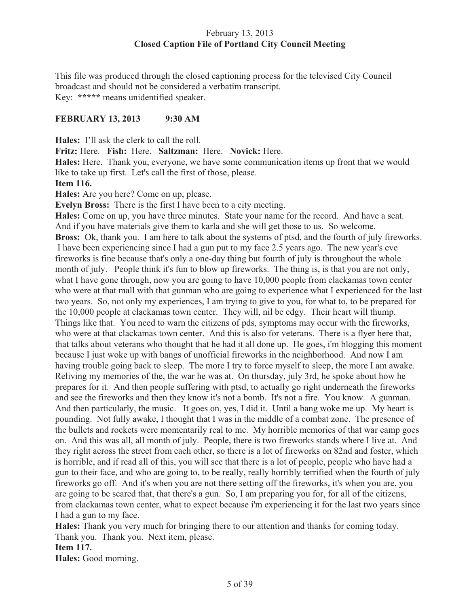## February 13, 2013 **Closed Caption File of Portland City Council Meeting**

This file was produced through the closed captioning process for the televised City Council broadcast and should not be considered a verbatim transcript. Key: **\*\*\*\*\*** means unidentified speaker.

## **FEBRUARY 13, 2013 9:30 AM**

**Hales:** I'll ask the clerk to call the roll.

**Fritz:** Here. **Fish:** Here. **Saltzman:** Here. **Novick:** Here.

**Hales:** Here. Thank you, everyone, we have some communication items up front that we would like to take up first. Let's call the first of those, please.

## **Item 116.**

**Hales:** Are you here? Come on up, please.

**Evelyn Bross:** There is the first I have been to a city meeting.

**Hales:** Come on up, you have three minutes. State your name for the record. And have a seat. And if you have materials give them to karla and she will get those to us. So welcome. **Bross:** Ok, thank you. I am here to talk about the systems of ptsd, and the fourth of july fireworks. I have been experiencing since I had a gun put to my face 2.5 years ago. The new year's eve fireworks is fine because that's only a one-day thing but fourth of july is throughout the whole month of july. People think it's fun to blow up fireworks. The thing is, is that you are not only, what I have gone through, now you are going to have 10,000 people from clackamas town center who were at that mall with that gunman who are going to experience what I experienced for the last two years. So, not only my experiences, I am trying to give to you, for what to, to be prepared for the 10,000 people at clackamas town center. They will, nil be edgy. Their heart will thump. Things like that. You need to warn the citizens of pds, symptoms may occur with the fireworks, who were at that clackamas town center. And this is also for veterans. There is a flyer here that, that talks about veterans who thought that he had it all done up. He goes, i'm blogging this moment because I just woke up with bangs of unofficial fireworks in the neighborhood. And now I am having trouble going back to sleep. The more I try to force myself to sleep, the more I am awake. Reliving my memories of the, the war he was at. On thursday, july 3rd, he spoke about how he prepares for it. And then people suffering with ptsd, to actually go right underneath the fireworks and see the fireworks and then they know it's not a bomb. It's not a fire. You know. A gunman. And then particularly, the music. It goes on, yes, I did it. Until a bang woke me up. My heart is pounding. Not fully awake, I thought that I was in the middle of a combat zone. The presence of the bullets and rockets were momentarily real to me. My horrible memories of that war camp goes on. And this was all, all month of july. People, there is two fireworks stands where I live at. And they right across the street from each other, so there is a lot of fireworks on 82nd and foster, which is horrible, and if read all of this, you will see that there is a lot of people, people who have had a gun to their face, and who are going to, to be really, really horribly terrified when the fourth of july fireworks go off. And it's when you are not there setting off the fireworks, it's when you are, you are going to be scared that, that there's a gun. So, I am preparing you for, for all of the citizens, from clackamas town center, what to expect because i'm experiencing it for the last two years since I had a gun to my face.

**Hales:** Thank you very much for bringing there to our attention and thanks for coming today. Thank you. Thank you. Next item, please.

#### **Item 117.**

**Hales:** Good morning.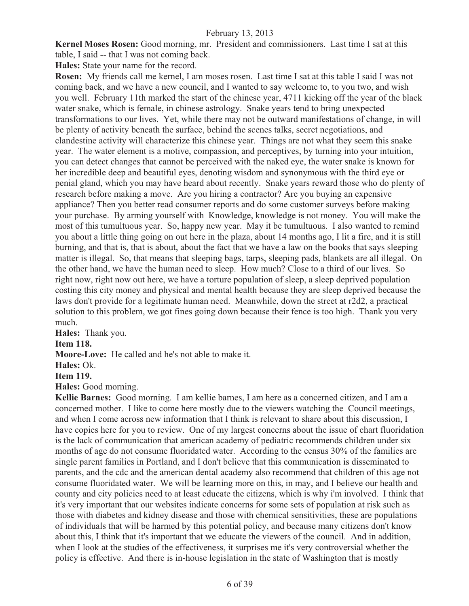**Kernel Moses Rosen:** Good morning, mr. President and commissioners. Last time I sat at this table, I said -- that I was not coming back.

**Hales:** State your name for the record.

**Rosen:** My friends call me kernel, I am moses rosen. Last time I sat at this table I said I was not coming back, and we have a new council, and I wanted to say welcome to, to you two, and wish you well. February 11th marked the start of the chinese year, 4711 kicking off the year of the black water snake, which is female, in chinese astrology. Snake years tend to bring unexpected transformations to our lives. Yet, while there may not be outward manifestations of change, in will be plenty of activity beneath the surface, behind the scenes talks, secret negotiations, and clandestine activity will characterize this chinese year. Things are not what they seem this snake year. The water element is a motive, compassion, and perceptives, by turning into your intuition, you can detect changes that cannot be perceived with the naked eye, the water snake is known for her incredible deep and beautiful eyes, denoting wisdom and synonymous with the third eye or penial gland, which you may have heard about recently. Snake years reward those who do plenty of research before making a move. Are you hiring a contractor? Are you buying an expensive appliance? Then you better read consumer reports and do some customer surveys before making your purchase. By arming yourself with Knowledge, knowledge is not money. You will make the most of this tumultuous year. So, happy new year. May it be tumultuous. I also wanted to remind you about a little thing going on out here in the plaza, about 14 months ago, I lit a fire, and it is still burning, and that is, that is about, about the fact that we have a law on the books that says sleeping matter is illegal. So, that means that sleeping bags, tarps, sleeping pads, blankets are all illegal. On the other hand, we have the human need to sleep. How much? Close to a third of our lives. So right now, right now out here, we have a torture population of sleep, a sleep deprived population costing this city money and physical and mental health because they are sleep deprived because the laws don't provide for a legitimate human need. Meanwhile, down the street at r2d2, a practical solution to this problem, we got fines going down because their fence is too high. Thank you very much.

**Hales:** Thank you.

**Item 118.** 

**Moore-Love:** He called and he's not able to make it.

**Hales:** Ok.

**Item 119.**

**Hales:** Good morning.

**Kellie Barnes:** Good morning. I am kellie barnes, I am here as a concerned citizen, and I am a concerned mother. I like to come here mostly due to the viewers watching the Council meetings, and when I come across new information that I think is relevant to share about this discussion, I have copies here for you to review. One of my largest concerns about the issue of chart fluoridation is the lack of communication that american academy of pediatric recommends children under six months of age do not consume fluoridated water. According to the census 30% of the families are single parent families in Portland, and I don't believe that this communication is disseminated to parents, and the cdc and the american dental academy also recommend that children of this age not consume fluoridated water. We will be learning more on this, in may, and I believe our health and county and city policies need to at least educate the citizens, which is why i'm involved. I think that it's very important that our websites indicate concerns for some sets of population at risk such as those with diabetes and kidney disease and those with chemical sensitivities, these are populations of individuals that will be harmed by this potential policy, and because many citizens don't know about this, I think that it's important that we educate the viewers of the council. And in addition, when I look at the studies of the effectiveness, it surprises me it's very controversial whether the policy is effective. And there is in-house legislation in the state of Washington that is mostly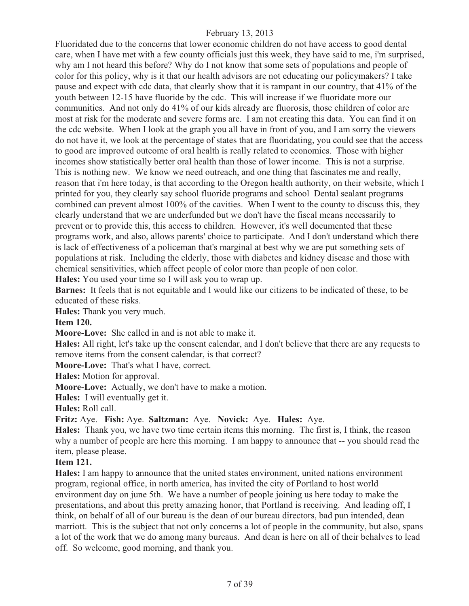Fluoridated due to the concerns that lower economic children do not have access to good dental care, when I have met with a few county officials just this week, they have said to me, i'm surprised, why am I not heard this before? Why do I not know that some sets of populations and people of color for this policy, why is it that our health advisors are not educating our policymakers? I take pause and expect with cdc data, that clearly show that it is rampant in our country, that 41% of the youth between 12-15 have fluoride by the cdc. This will increase if we fluoridate more our communities. And not only do 41% of our kids already are fluorosis, those children of color are most at risk for the moderate and severe forms are. I am not creating this data. You can find it on the cdc website. When I look at the graph you all have in front of you, and I am sorry the viewers do not have it, we look at the percentage of states that are fluoridating, you could see that the access to good are improved outcome of oral health is really related to economics. Those with higher incomes show statistically better oral health than those of lower income. This is not a surprise. This is nothing new. We know we need outreach, and one thing that fascinates me and really, reason that i'm here today, is that according to the Oregon health authority, on their website, which I printed for you, they clearly say school fluoride programs and school Dental sealant programs combined can prevent almost 100% of the cavities. When I went to the county to discuss this, they clearly understand that we are underfunded but we don't have the fiscal means necessarily to prevent or to provide this, this access to children. However, it's well documented that these programs work, and also, allows parents' choice to participate. And I don't understand which there is lack of effectiveness of a policeman that's marginal at best why we are put something sets of populations at risk. Including the elderly, those with diabetes and kidney disease and those with chemical sensitivities, which affect people of color more than people of non color.

**Hales:** You used your time so I will ask you to wrap up.

**Barnes:** It feels that is not equitable and I would like our citizens to be indicated of these, to be educated of these risks.

**Hales:** Thank you very much.

**Item 120.** 

**Moore-Love:** She called in and is not able to make it.

**Hales:** All right, let's take up the consent calendar, and I don't believe that there are any requests to remove items from the consent calendar, is that correct?

**Moore-Love:** That's what I have, correct.

**Hales:** Motion for approval.

**Moore-Love:** Actually, we don't have to make a motion.

**Hales:** I will eventually get it.

**Hales:** Roll call.

**Fritz:** Aye. **Fish:** Aye. **Saltzman:** Aye. **Novick:** Aye. **Hales:** Aye.

**Hales:** Thank you, we have two time certain items this morning. The first is, I think, the reason why a number of people are here this morning. I am happy to announce that -- you should read the item, please please.

#### **Item 121.**

**Hales:** I am happy to announce that the united states environment, united nations environment program, regional office, in north america, has invited the city of Portland to host world environment day on june 5th. We have a number of people joining us here today to make the presentations, and about this pretty amazing honor, that Portland is receiving. And leading off, I think, on behalf of all of our bureau is the dean of our bureau directors, bad pun intended, dean marriott. This is the subject that not only concerns a lot of people in the community, but also, spans a lot of the work that we do among many bureaus. And dean is here on all of their behalves to lead off. So welcome, good morning, and thank you.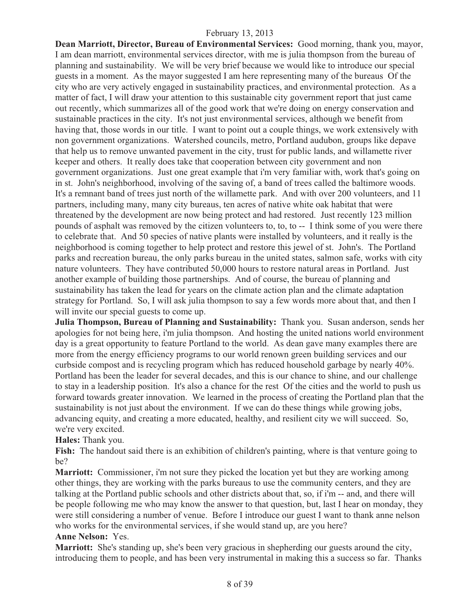**Dean Marriott, Director, Bureau of Environmental Services:** Good morning, thank you, mayor, I am dean marriott, environmental services director, with me is julia thompson from the bureau of planning and sustainability. We will be very brief because we would like to introduce our special guests in a moment. As the mayor suggested I am here representing many of the bureaus Of the city who are very actively engaged in sustainability practices, and environmental protection. As a matter of fact, I will draw your attention to this sustainable city government report that just came out recently, which summarizes all of the good work that we're doing on energy conservation and sustainable practices in the city. It's not just environmental services, although we benefit from having that, those words in our title. I want to point out a couple things, we work extensively with non government organizations. Watershed councils, metro, Portland audubon, groups like depave that help us to remove unwanted pavement in the city, trust for public lands, and willamette river keeper and others. It really does take that cooperation between city government and non government organizations. Just one great example that i'm very familiar with, work that's going on in st. John's neighborhood, involving of the saving of, a band of trees called the baltimore woods. It's a remnant band of trees just north of the willamette park. And with over 200 volunteers, and 11 partners, including many, many city bureaus, ten acres of native white oak habitat that were threatened by the development are now being protect and had restored. Just recently 123 million pounds of asphalt was removed by the citizen volunteers to, to, to -- I think some of you were there to celebrate that. And 50 species of native plants were installed by volunteers, and it really is the neighborhood is coming together to help protect and restore this jewel of st. John's. The Portland parks and recreation bureau, the only parks bureau in the united states, salmon safe, works with city nature volunteers. They have contributed 50,000 hours to restore natural areas in Portland. Just another example of building those partnerships. And of course, the bureau of planning and sustainability has taken the lead for years on the climate action plan and the climate adaptation strategy for Portland. So, I will ask julia thompson to say a few words more about that, and then I will invite our special guests to come up.

**Julia Thompson, Bureau of Planning and Sustainability:** Thank you. Susan anderson, sends her apologies for not being here, i'm julia thompson. And hosting the united nations world environment day is a great opportunity to feature Portland to the world. As dean gave many examples there are more from the energy efficiency programs to our world renown green building services and our curbside compost and is recycling program which has reduced household garbage by nearly 40%. Portland has been the leader for several decades, and this is our chance to shine, and our challenge to stay in a leadership position. It's also a chance for the rest Of the cities and the world to push us forward towards greater innovation. We learned in the process of creating the Portland plan that the sustainability is not just about the environment. If we can do these things while growing jobs, advancing equity, and creating a more educated, healthy, and resilient city we will succeed. So, we're very excited.

**Hales:** Thank you.

**Fish:** The handout said there is an exhibition of children's painting, where is that venture going to be?

**Marriott:** Commissioner, i'm not sure they picked the location yet but they are working among other things, they are working with the parks bureaus to use the community centers, and they are talking at the Portland public schools and other districts about that, so, if i'm -- and, and there will be people following me who may know the answer to that question, but, last I hear on monday, they were still considering a number of venue. Before I introduce our guest I want to thank anne nelson who works for the environmental services, if she would stand up, are you here?

#### **Anne Nelson:** Yes.

**Marriott:** She's standing up, she's been very gracious in shepherding our guests around the city, introducing them to people, and has been very instrumental in making this a success so far. Thanks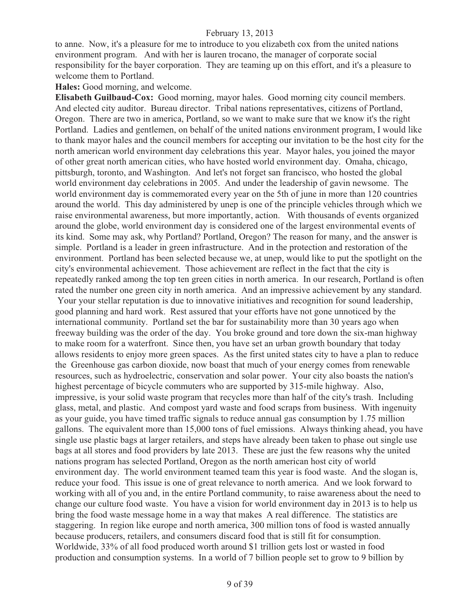to anne. Now, it's a pleasure for me to introduce to you elizabeth cox from the united nations environment program. And with her is lauren trocano, the manager of corporate social responsibility for the bayer corporation. They are teaming up on this effort, and it's a pleasure to welcome them to Portland.

**Hales:** Good morning, and welcome.

**Elisabeth Guilbaud-Cox:** Good morning, mayor hales. Good morning city council members. And elected city auditor. Bureau director. Tribal nations representatives, citizens of Portland, Oregon. There are two in america, Portland, so we want to make sure that we know it's the right Portland. Ladies and gentlemen, on behalf of the united nations environment program, I would like to thank mayor hales and the council members for accepting our invitation to be the host city for the north american world environment day celebrations this year. Mayor hales, you joined the mayor of other great north american cities, who have hosted world environment day. Omaha, chicago, pittsburgh, toronto, and Washington. And let's not forget san francisco, who hosted the global world environment day celebrations in 2005. And under the leadership of gavin newsome. The world environment day is commemorated every year on the 5th of june in more than 120 countries around the world. This day administered by unep is one of the principle vehicles through which we raise environmental awareness, but more importantly, action. With thousands of events organized around the globe, world environment day is considered one of the largest environmental events of its kind. Some may ask, why Portland? Portland, Oregon? The reason for many, and the answer is simple. Portland is a leader in green infrastructure. And in the protection and restoration of the environment. Portland has been selected because we, at unep, would like to put the spotlight on the city's environmental achievement. Those achievement are reflect in the fact that the city is repeatedly ranked among the top ten green cities in north america. In our research, Portland is often rated the number one green city in north america. And an impressive achievement by any standard. Your your stellar reputation is due to innovative initiatives and recognition for sound leadership, good planning and hard work. Rest assured that your efforts have not gone unnoticed by the international community. Portland set the bar for sustainability more than 30 years ago when freeway building was the order of the day. You broke ground and tore down the six-man highway to make room for a waterfront. Since then, you have set an urban growth boundary that today allows residents to enjoy more green spaces. As the first united states city to have a plan to reduce the Greenhouse gas carbon dioxide, now boast that much of your energy comes from renewable resources, such as hydroelectric, conservation and solar power. Your city also boasts the nation's highest percentage of bicycle commuters who are supported by 315-mile highway. Also, impressive, is your solid waste program that recycles more than half of the city's trash. Including glass, metal, and plastic. And compost yard waste and food scraps from business. With ingenuity as your guide, you have timed traffic signals to reduce annual gas consumption by 1.75 million gallons. The equivalent more than 15,000 tons of fuel emissions. Always thinking ahead, you have single use plastic bags at larger retailers, and steps have already been taken to phase out single use bags at all stores and food providers by late 2013. These are just the few reasons why the united nations program has selected Portland, Oregon as the north american host city of world environment day. The world environment teamed team this year is food waste. And the slogan is, reduce your food. This issue is one of great relevance to north america. And we look forward to working with all of you and, in the entire Portland community, to raise awareness about the need to change our culture food waste. You have a vision for world environment day in 2013 is to help us bring the food waste message home in a way that makes A real difference. The statistics are staggering. In region like europe and north america, 300 million tons of food is wasted annually because producers, retailers, and consumers discard food that is still fit for consumption. Worldwide, 33% of all food produced worth around \$1 trillion gets lost or wasted in food production and consumption systems. In a world of 7 billion people set to grow to 9 billion by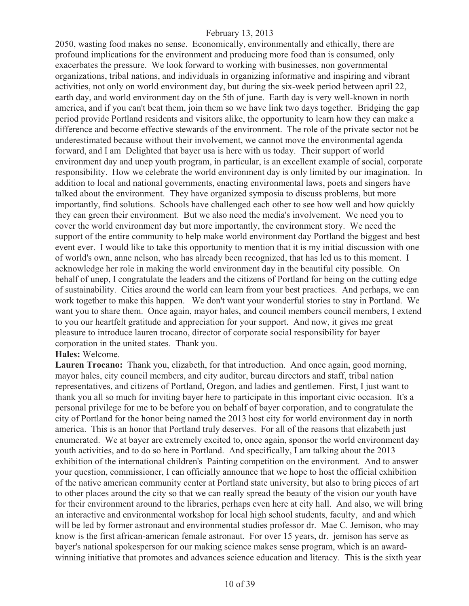2050, wasting food makes no sense. Economically, environmentally and ethically, there are profound implications for the environment and producing more food than is consumed, only exacerbates the pressure. We look forward to working with businesses, non governmental organizations, tribal nations, and individuals in organizing informative and inspiring and vibrant activities, not only on world environment day, but during the six-week period between april 22, earth day, and world environment day on the 5th of june. Earth day is very well-known in north america, and if you can't beat them, join them so we have link two days together. Bridging the gap period provide Portland residents and visitors alike, the opportunity to learn how they can make a difference and become effective stewards of the environment. The role of the private sector not be underestimated because without their involvement, we cannot move the environmental agenda forward, and I am Delighted that bayer usa is here with us today. Their support of world environment day and unep youth program, in particular, is an excellent example of social, corporate responsibility. How we celebrate the world environment day is only limited by our imagination. In addition to local and national governments, enacting environmental laws, poets and singers have talked about the environment. They have organized symposia to discuss problems, but more importantly, find solutions. Schools have challenged each other to see how well and how quickly they can green their environment. But we also need the media's involvement. We need you to cover the world environment day but more importantly, the environment story. We need the support of the entire community to help make world environment day Portland the biggest and best event ever. I would like to take this opportunity to mention that it is my initial discussion with one of world's own, anne nelson, who has already been recognized, that has led us to this moment. I acknowledge her role in making the world environment day in the beautiful city possible. On behalf of unep, I congratulate the leaders and the citizens of Portland for being on the cutting edge of sustainability. Cities around the world can learn from your best practices. And perhaps, we can work together to make this happen. We don't want your wonderful stories to stay in Portland. We want you to share them. Once again, mayor hales, and council members council members, I extend to you our heartfelt gratitude and appreciation for your support. And now, it gives me great pleasure to introduce lauren trocano, director of corporate social responsibility for bayer corporation in the united states. Thank you.

#### **Hales:** Welcome.

**Lauren Trocano:** Thank you, elizabeth, for that introduction. And once again, good morning, mayor hales, city council members, and city auditor, bureau directors and staff, tribal nation representatives, and citizens of Portland, Oregon, and ladies and gentlemen. First, I just want to thank you all so much for inviting bayer here to participate in this important civic occasion. It's a personal privilege for me to be before you on behalf of bayer corporation, and to congratulate the city of Portland for the honor being named the 2013 host city for world environment day in north america. This is an honor that Portland truly deserves. For all of the reasons that elizabeth just enumerated. We at bayer are extremely excited to, once again, sponsor the world environment day youth activities, and to do so here in Portland. And specifically, I am talking about the 2013 exhibition of the international children's Painting competition on the environment. And to answer your question, commissioner, I can officially announce that we hope to host the official exhibition of the native american community center at Portland state university, but also to bring pieces of art to other places around the city so that we can really spread the beauty of the vision our youth have for their environment around to the libraries, perhaps even here at city hall. And also, we will bring an interactive and environmental workshop for local high school students, faculty, and and which will be led by former astronaut and environmental studies professor dr. Mae C. Jemison, who may know is the first african-american female astronaut. For over 15 years, dr. jemison has serve as bayer's national spokesperson for our making science makes sense program, which is an awardwinning initiative that promotes and advances science education and literacy. This is the sixth year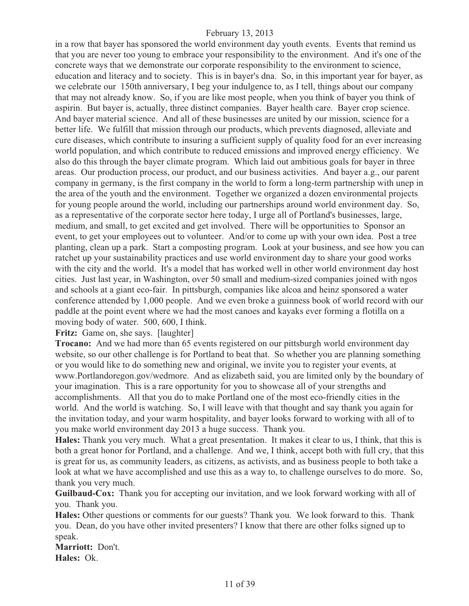in a row that bayer has sponsored the world environment day youth events. Events that remind us that you are never too young to embrace your responsibility to the environment. And it's one of the concrete ways that we demonstrate our corporate responsibility to the environment to science, education and literacy and to society. This is in bayer's dna. So, in this important year for bayer, as we celebrate our 150th anniversary, I beg your indulgence to, as I tell, things about our company that may not already know. So, if you are like most people, when you think of bayer you think of aspirin. But bayer is, actually, three distinct companies. Bayer health care. Bayer crop science. And bayer material science. And all of these businesses are united by our mission, science for a better life. We fulfill that mission through our products, which prevents diagnosed, alleviate and cure diseases, which contribute to insuring a sufficient supply of quality food for an ever increasing world population, and which contribute to reduced emissions and improved energy efficiency. We also do this through the bayer climate program. Which laid out ambitious goals for bayer in three areas. Our production process, our product, and our business activities. And bayer a.g., our parent company in germany, is the first company in the world to form a long-term partnership with unep in the area of the youth and the environment. Together we organized a dozen environmental projects for young people around the world, including our partnerships around world environment day. So, as a representative of the corporate sector here today, I urge all of Portland's businesses, large, medium, and small, to get excited and get involved. There will be opportunities to Sponsor an event, to get your employees out to volunteer. And/or to come up with your own idea. Post a tree planting, clean up a park. Start a composting program. Look at your business, and see how you can ratchet up your sustainability practices and use world environment day to share your good works with the city and the world. It's a model that has worked well in other world environment day host cities. Just last year, in Washington, over 50 small and medium-sized companies joined with ngos and schools at a giant eco-fair. In pittsburgh, companies like alcoa and heinz sponsored a water conference attended by 1,000 people. And we even broke a guinness book of world record with our paddle at the point event where we had the most canoes and kayaks ever forming a flotilla on a moving body of water. 500, 600, I think.

Fritz: Game on, she says. [laughter]

**Trocano:** And we had more than 65 events registered on our pittsburgh world environment day website, so our other challenge is for Portland to beat that. So whether you are planning something or you would like to do something new and original, we invite you to register your events, at www.Portlandoregon.gov/wedmore. And as elizabeth said, you are limited only by the boundary of your imagination. This is a rare opportunity for you to showcase all of your strengths and accomplishments. All that you do to make Portland one of the most eco-friendly cities in the world. And the world is watching. So, I will leave with that thought and say thank you again for the invitation today, and your warm hospitality, and bayer looks forward to working with all of to you make world environment day 2013 a huge success. Thank you.

**Hales:** Thank you very much. What a great presentation. It makes it clear to us, I think, that this is both a great honor for Portland, and a challenge. And we, I think, accept both with full cry, that this is great for us, as community leaders, as citizens, as activists, and as business people to both take a look at what we have accomplished and use this as a way to, to challenge ourselves to do more. So, thank you very much.

**Guilbaud-Cox:** Thank you for accepting our invitation, and we look forward working with all of you. Thank you.

**Hales:** Other questions or comments for our guests? Thank you. We look forward to this. Thank you. Dean, do you have other invited presenters? I know that there are other folks signed up to speak.

**Marriott:** Don't. **Hales:** Ok.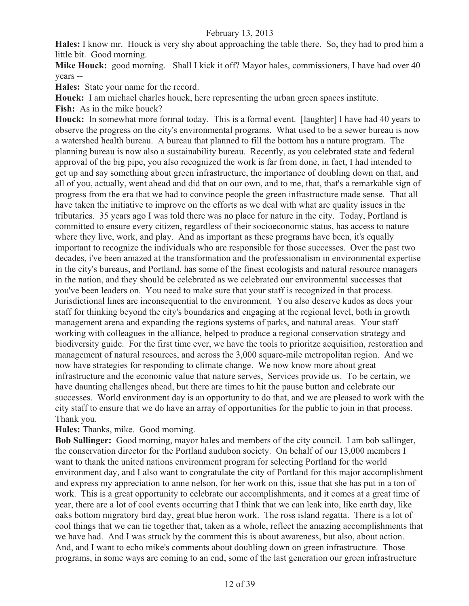**Hales:** I know mr. Houck is very shy about approaching the table there. So, they had to prod him a little bit. Good morning.

**Mike Houck:** good morning. Shall I kick it off? Mayor hales, commissioners, I have had over 40 years --

**Hales:** State your name for the record.

**Houck:** I am michael charles houck, here representing the urban green spaces institute.

**Fish:** As in the mike houck?

**Houck:** In somewhat more formal today. This is a formal event. [laughter] I have had 40 years to observe the progress on the city's environmental programs. What used to be a sewer bureau is now a watershed health bureau. A bureau that planned to fill the bottom has a nature program. The planning bureau is now also a sustainability bureau. Recently, as you celebrated state and federal approval of the big pipe, you also recognized the work is far from done, in fact, I had intended to get up and say something about green infrastructure, the importance of doubling down on that, and all of you, actually, went ahead and did that on our own, and to me, that, that's a remarkable sign of progress from the era that we had to convince people the green infrastructure made sense. That all have taken the initiative to improve on the efforts as we deal with what are quality issues in the tributaries. 35 years ago I was told there was no place for nature in the city. Today, Portland is committed to ensure every citizen, regardless of their socioeconomic status, has access to nature where they live, work, and play. And as important as these programs have been, it's equally important to recognize the individuals who are responsible for those successes. Over the past two decades, i've been amazed at the transformation and the professionalism in environmental expertise in the city's bureaus, and Portland, has some of the finest ecologists and natural resource managers in the nation, and they should be celebrated as we celebrated our environmental successes that you've been leaders on. You need to make sure that your staff is recognized in that process. Jurisdictional lines are inconsequential to the environment. You also deserve kudos as does your staff for thinking beyond the city's boundaries and engaging at the regional level, both in growth management arena and expanding the regions systems of parks, and natural areas. Your staff working with colleagues in the alliance, helped to produce a regional conservation strategy and biodiversity guide. For the first time ever, we have the tools to prioritze acquisition, restoration and management of natural resources, and across the 3,000 square-mile metropolitan region. And we now have strategies for responding to climate change. We now know more about great infrastructure and the economic value that nature serves, Services provide us. To be certain, we have daunting challenges ahead, but there are times to hit the pause button and celebrate our successes. World environment day is an opportunity to do that, and we are pleased to work with the city staff to ensure that we do have an array of opportunities for the public to join in that process. Thank you.

## **Hales:** Thanks, mike. Good morning.

**Bob Sallinger:** Good morning, mayor hales and members of the city council. I am bob sallinger, the conservation director for the Portland audubon society. On behalf of our 13,000 members I want to thank the united nations environment program for selecting Portland for the world environment day, and I also want to congratulate the city of Portland for this major accomplishment and express my appreciation to anne nelson, for her work on this, issue that she has put in a ton of work. This is a great opportunity to celebrate our accomplishments, and it comes at a great time of year, there are a lot of cool events occurring that I think that we can leak into, like earth day, like oaks bottom migratory bird day, great blue heron work. The ross island regatta. There is a lot of cool things that we can tie together that, taken as a whole, reflect the amazing accomplishments that we have had. And I was struck by the comment this is about awareness, but also, about action. And, and I want to echo mike's comments about doubling down on green infrastructure. Those programs, in some ways are coming to an end, some of the last generation our green infrastructure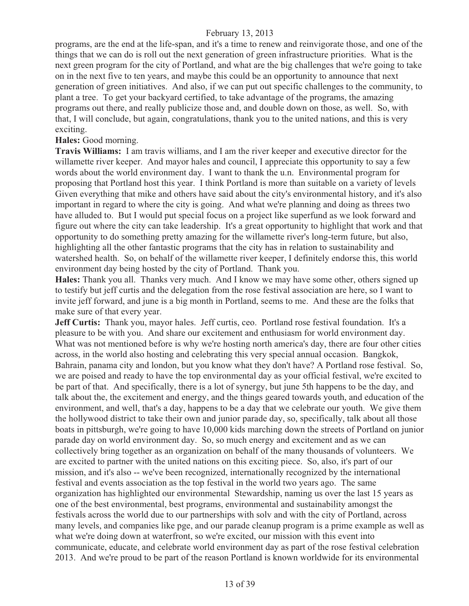programs, are the end at the life-span, and it's a time to renew and reinvigorate those, and one of the things that we can do is roll out the next generation of green infrastructure priorities. What is the next green program for the city of Portland, and what are the big challenges that we're going to take on in the next five to ten years, and maybe this could be an opportunity to announce that next generation of green initiatives. And also, if we can put out specific challenges to the community, to plant a tree. To get your backyard certified, to take advantage of the programs, the amazing programs out there, and really publicize those and, and double down on those, as well. So, with that, I will conclude, but again, congratulations, thank you to the united nations, and this is very exciting.

#### **Hales:** Good morning.

**Travis Williams:** I am travis williams, and I am the river keeper and executive director for the willamette river keeper. And mayor hales and council, I appreciate this opportunity to say a few words about the world environment day. I want to thank the u.n. Environmental program for proposing that Portland host this year. I think Portland is more than suitable on a variety of levels Given everything that mike and others have said about the city's environmental history, and it's also important in regard to where the city is going. And what we're planning and doing as threes two have alluded to. But I would put special focus on a project like superfund as we look forward and figure out where the city can take leadership. It's a great opportunity to highlight that work and that opportunity to do something pretty amazing for the willamette river's long-term future, but also, highlighting all the other fantastic programs that the city has in relation to sustainability and watershed health. So, on behalf of the willamette river keeper, I definitely endorse this, this world environment day being hosted by the city of Portland. Thank you.

**Hales:** Thank you all. Thanks very much. And I know we may have some other, others signed up to testify but jeff curtis and the delegation from the rose festival association are here, so I want to invite jeff forward, and june is a big month in Portland, seems to me. And these are the folks that make sure of that every year.

**Jeff Curtis:** Thank you, mayor hales. Jeff curtis, ceo. Portland rose festival foundation. It's a pleasure to be with you. And share our excitement and enthusiasm for world environment day. What was not mentioned before is why we're hosting north america's day, there are four other cities across, in the world also hosting and celebrating this very special annual occasion. Bangkok, Bahrain, panama city and london, but you know what they don't have? A Portland rose festival. So, we are poised and ready to have the top environmental day as your official festival, we're excited to be part of that. And specifically, there is a lot of synergy, but june 5th happens to be the day, and talk about the, the excitement and energy, and the things geared towards youth, and education of the environment, and well, that's a day, happens to be a day that we celebrate our youth. We give them the hollywood district to take their own and junior parade day, so, specifically, talk about all those boats in pittsburgh, we're going to have 10,000 kids marching down the streets of Portland on junior parade day on world environment day. So, so much energy and excitement and as we can collectively bring together as an organization on behalf of the many thousands of volunteers. We are excited to partner with the united nations on this exciting piece. So, also, it's part of our mission, and it's also -- we've been recognized, internationally recognized by the international festival and events association as the top festival in the world two years ago. The same organization has highlighted our environmental Stewardship, naming us over the last 15 years as one of the best environmental, best programs, environmental and sustainability amongst the festivals across the world due to our partnerships with solv and with the city of Portland, across many levels, and companies like pge, and our parade cleanup program is a prime example as well as what we're doing down at waterfront, so we're excited, our mission with this event into communicate, educate, and celebrate world environment day as part of the rose festival celebration 2013. And we're proud to be part of the reason Portland is known worldwide for its environmental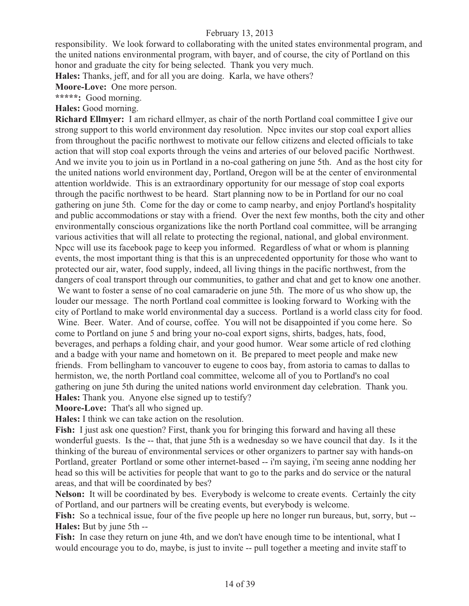responsibility. We look forward to collaborating with the united states environmental program, and the united nations environmental program, with bayer, and of course, the city of Portland on this honor and graduate the city for being selected. Thank you very much.

**Hales:** Thanks, jeff, and for all you are doing. Karla, we have others?

**Moore-Love:** One more person.

**\*\*\*\*\*:** Good morning.

**Hales:** Good morning.

**Richard Ellmyer:** I am richard ellmyer, as chair of the north Portland coal committee I give our strong support to this world environment day resolution. Npcc invites our stop coal export allies from throughout the pacific northwest to motivate our fellow citizens and elected officials to take action that will stop coal exports through the veins and arteries of our beloved pacific Northwest. And we invite you to join us in Portland in a no-coal gathering on june 5th. And as the host city for the united nations world environment day, Portland, Oregon will be at the center of environmental attention worldwide. This is an extraordinary opportunity for our message of stop coal exports through the pacific northwest to be heard. Start planning now to be in Portland for our no coal gathering on june 5th. Come for the day or come to camp nearby, and enjoy Portland's hospitality and public accommodations or stay with a friend. Over the next few months, both the city and other environmentally conscious organizations like the north Portland coal committee, will be arranging various activities that will all relate to protecting the regional, national, and global environment. Npcc will use its facebook page to keep you informed. Regardless of what or whom is planning events, the most important thing is that this is an unprecedented opportunity for those who want to protected our air, water, food supply, indeed, all living things in the pacific northwest, from the dangers of coal transport through our communities, to gather and chat and get to know one another.

 We want to foster a sense of no coal camaraderie on june 5th. The more of us who show up, the louder our message. The north Portland coal committee is looking forward to Working with the city of Portland to make world environmental day a success. Portland is a world class city for food. Wine. Beer. Water. And of course, coffee. You will not be disappointed if you come here. So come to Portland on june 5 and bring your no-coal export signs, shirts, badges, hats, food, beverages, and perhaps a folding chair, and your good humor. Wear some article of red clothing and a badge with your name and hometown on it. Be prepared to meet people and make new friends. From bellingham to vancouver to eugene to coos bay, from astoria to camas to dallas to hermiston, we, the north Portland coal committee, welcome all of you to Portland's no coal gathering on june 5th during the united nations world environment day celebration. Thank you. **Hales:** Thank you. Anyone else signed up to testify?

**Moore-Love:** That's all who signed up.

**Hales:** I think we can take action on the resolution.

Fish: I just ask one question? First, thank you for bringing this forward and having all these wonderful guests. Is the -- that, that june 5th is a wednesday so we have council that day. Is it the thinking of the bureau of environmental services or other organizers to partner say with hands-on Portland, greater Portland or some other internet-based -- i'm saying, i'm seeing anne nodding her head so this will be activities for people that want to go to the parks and do service or the natural areas, and that will be coordinated by bes?

**Nelson:** It will be coordinated by bes. Everybody is welcome to create events. Certainly the city of Portland, and our partners will be creating events, but everybody is welcome.

Fish: So a technical issue, four of the five people up here no longer run bureaus, but, sorry, but --**Hales:** But by june 5th --

**Fish:** In case they return on june 4th, and we don't have enough time to be intentional, what I would encourage you to do, maybe, is just to invite -- pull together a meeting and invite staff to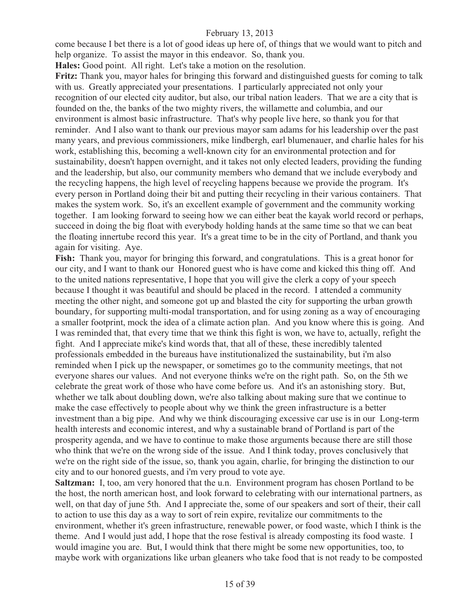come because I bet there is a lot of good ideas up here of, of things that we would want to pitch and help organize. To assist the mayor in this endeavor. So, thank you.

**Hales:** Good point. All right. Let's take a motion on the resolution.

**Fritz:** Thank you, mayor hales for bringing this forward and distinguished guests for coming to talk with us. Greatly appreciated your presentations. I particularly appreciated not only your recognition of our elected city auditor, but also, our tribal nation leaders. That we are a city that is founded on the, the banks of the two mighty rivers, the willamette and columbia, and our environment is almost basic infrastructure. That's why people live here, so thank you for that reminder. And I also want to thank our previous mayor sam adams for his leadership over the past many years, and previous commissioners, mike lindbergh, earl blumenauer, and charlie hales for his work, establishing this, becoming a well-known city for an environmental protection and for sustainability, doesn't happen overnight, and it takes not only elected leaders, providing the funding and the leadership, but also, our community members who demand that we include everybody and the recycling happens, the high level of recycling happens because we provide the program. It's every person in Portland doing their bit and putting their recycling in their various containers. That makes the system work. So, it's an excellent example of government and the community working together. I am looking forward to seeing how we can either beat the kayak world record or perhaps, succeed in doing the big float with everybody holding hands at the same time so that we can beat the floating innertube record this year. It's a great time to be in the city of Portland, and thank you again for visiting. Aye.

**Fish:** Thank you, mayor for bringing this forward, and congratulations. This is a great honor for our city, and I want to thank our Honored guest who is have come and kicked this thing off. And to the united nations representative, I hope that you will give the clerk a copy of your speech because I thought it was beautiful and should be placed in the record. I attended a community meeting the other night, and someone got up and blasted the city for supporting the urban growth boundary, for supporting multi-modal transportation, and for using zoning as a way of encouraging a smaller footprint, mock the idea of a climate action plan. And you know where this is going. And I was reminded that, that every time that we think this fight is won, we have to, actually, refight the fight. And I appreciate mike's kind words that, that all of these, these incredibly talented professionals embedded in the bureaus have institutionalized the sustainability, but i'm also reminded when I pick up the newspaper, or sometimes go to the community meetings, that not everyone shares our values. And not everyone thinks we're on the right path. So, on the 5th we celebrate the great work of those who have come before us. And it's an astonishing story. But, whether we talk about doubling down, we're also talking about making sure that we continue to make the case effectively to people about why we think the green infrastructure is a better investment than a big pipe. And why we think discouraging excessive car use is in our Long-term health interests and economic interest, and why a sustainable brand of Portland is part of the prosperity agenda, and we have to continue to make those arguments because there are still those who think that we're on the wrong side of the issue. And I think today, proves conclusively that we're on the right side of the issue, so, thank you again, charlie, for bringing the distinction to our city and to our honored guests, and i'm very proud to vote aye.

**Saltzman:** I, too, am very honored that the u.n. Environment program has chosen Portland to be the host, the north american host, and look forward to celebrating with our international partners, as well, on that day of june 5th. And I appreciate the, some of our speakers and sort of their, their call to action to use this day as a way to sort of rein expire, revitalize our commitments to the environment, whether it's green infrastructure, renewable power, or food waste, which I think is the theme. And I would just add, I hope that the rose festival is already composting its food waste. I would imagine you are. But, I would think that there might be some new opportunities, too, to maybe work with organizations like urban gleaners who take food that is not ready to be composted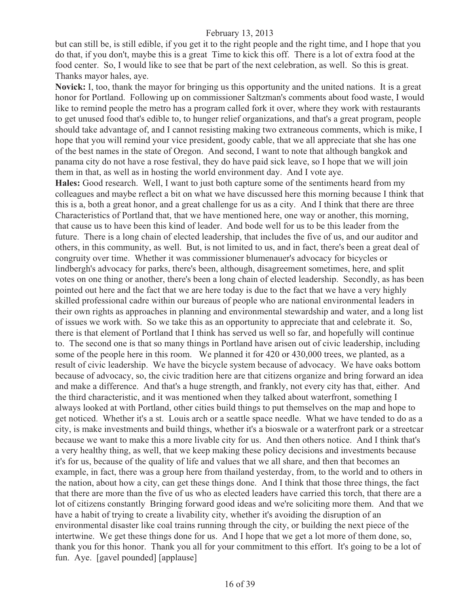but can still be, is still edible, if you get it to the right people and the right time, and I hope that you do that, if you don't, maybe this is a great Time to kick this off. There is a lot of extra food at the food center. So, I would like to see that be part of the next celebration, as well. So this is great. Thanks mayor hales, aye.

**Novick:** I, too, thank the mayor for bringing us this opportunity and the united nations. It is a great honor for Portland. Following up on commissioner Saltzman's comments about food waste, I would like to remind people the metro has a program called fork it over, where they work with restaurants to get unused food that's edible to, to hunger relief organizations, and that's a great program, people should take advantage of, and I cannot resisting making two extraneous comments, which is mike, I hope that you will remind your vice president, goody cable, that we all appreciate that she has one of the best names in the state of Oregon. And second, I want to note that although bangkok and panama city do not have a rose festival, they do have paid sick leave, so I hope that we will join them in that, as well as in hosting the world environment day. And I vote aye.

**Hales:** Good research. Well, I want to just both capture some of the sentiments heard from my colleagues and maybe reflect a bit on what we have discussed here this morning because I think that this is a, both a great honor, and a great challenge for us as a city. And I think that there are three Characteristics of Portland that, that we have mentioned here, one way or another, this morning, that cause us to have been this kind of leader. And bode well for us to be this leader from the future. There is a long chain of elected leadership, that includes the five of us, and our auditor and others, in this community, as well. But, is not limited to us, and in fact, there's been a great deal of congruity over time. Whether it was commissioner blumenauer's advocacy for bicycles or lindbergh's advocacy for parks, there's been, although, disagreement sometimes, here, and split votes on one thing or another, there's been a long chain of elected leadership. Secondly, as has been pointed out here and the fact that we are here today is due to the fact that we have a very highly skilled professional cadre within our bureaus of people who are national environmental leaders in their own rights as approaches in planning and environmental stewardship and water, and a long list of issues we work with. So we take this as an opportunity to appreciate that and celebrate it. So, there is that element of Portland that I think has served us well so far, and hopefully will continue to. The second one is that so many things in Portland have arisen out of civic leadership, including some of the people here in this room. We planned it for 420 or 430,000 trees, we planted, as a result of civic leadership. We have the bicycle system because of advocacy. We have oaks bottom because of advocacy, so, the civic tradition here are that citizens organize and bring forward an idea and make a difference. And that's a huge strength, and frankly, not every city has that, either. And the third characteristic, and it was mentioned when they talked about waterfront, something I always looked at with Portland, other cities build things to put themselves on the map and hope to get noticed. Whether it's a st. Louis arch or a seattle space needle. What we have tended to do as a city, is make investments and build things, whether it's a bioswale or a waterfront park or a streetcar because we want to make this a more livable city for us. And then others notice. And I think that's a very healthy thing, as well, that we keep making these policy decisions and investments because it's for us, because of the quality of life and values that we all share, and then that becomes an example, in fact, there was a group here from thailand yesterday, from, to the world and to others in the nation, about how a city, can get these things done. And I think that those three things, the fact that there are more than the five of us who as elected leaders have carried this torch, that there are a lot of citizens constantly Bringing forward good ideas and we're soliciting more them. And that we have a habit of trying to create a livability city, whether it's avoiding the disruption of an environmental disaster like coal trains running through the city, or building the next piece of the intertwine. We get these things done for us. And I hope that we get a lot more of them done, so, thank you for this honor. Thank you all for your commitment to this effort. It's going to be a lot of fun. Aye. [gavel pounded] [applause]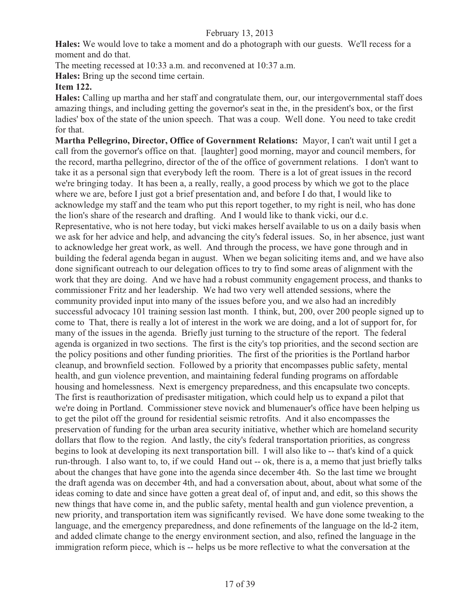**Hales:** We would love to take a moment and do a photograph with our guests. We'll recess for a moment and do that.

The meeting recessed at 10:33 a.m. and reconvened at 10:37 a.m.

**Hales:** Bring up the second time certain.

## **Item 122.**

**Hales:** Calling up martha and her staff and congratulate them, our, our intergovernmental staff does amazing things, and including getting the governor's seat in the, in the president's box, or the first ladies' box of the state of the union speech. That was a coup. Well done. You need to take credit for that.

**Martha Pellegrino, Director, Office of Government Relations:** Mayor, I can't wait until I get a call from the governor's office on that. [laughter] good morning, mayor and council members, for the record, martha pellegrino, director of the of the office of government relations. I don't want to take it as a personal sign that everybody left the room. There is a lot of great issues in the record we're bringing today. It has been a, a really, really, a good process by which we got to the place where we are, before I just got a brief presentation and, and before I do that, I would like to acknowledge my staff and the team who put this report together, to my right is neil, who has done the lion's share of the research and drafting. And I would like to thank vicki, our d.c. Representative, who is not here today, but vicki makes herself available to us on a daily basis when we ask for her advice and help, and advancing the city's federal issues. So, in her absence, just want to acknowledge her great work, as well. And through the process, we have gone through and in building the federal agenda began in august. When we began soliciting items and, and we have also done significant outreach to our delegation offices to try to find some areas of alignment with the work that they are doing. And we have had a robust community engagement process, and thanks to commissioner Fritz and her leadership. We had two very well attended sessions, where the community provided input into many of the issues before you, and we also had an incredibly successful advocacy 101 training session last month. I think, but, 200, over 200 people signed up to come to That, there is really a lot of interest in the work we are doing, and a lot of support for, for many of the issues in the agenda. Briefly just turning to the structure of the report. The federal agenda is organized in two sections. The first is the city's top priorities, and the second section are the policy positions and other funding priorities. The first of the priorities is the Portland harbor cleanup, and brownfield section. Followed by a priority that encompasses public safety, mental health, and gun violence prevention, and maintaining federal funding programs on affordable housing and homelessness. Next is emergency preparedness, and this encapsulate two concepts. The first is reauthorization of predisaster mitigation, which could help us to expand a pilot that we're doing in Portland. Commissioner steve novick and blumenauer's office have been helping us to get the pilot off the ground for residential seismic retrofits. And it also encompasses the preservation of funding for the urban area security initiative, whether which are homeland security dollars that flow to the region. And lastly, the city's federal transportation priorities, as congress begins to look at developing its next transportation bill. I will also like to -- that's kind of a quick run-through. I also want to, to, if we could Hand out -- ok, there is a, a memo that just briefly talks about the changes that have gone into the agenda since december 4th. So the last time we brought the draft agenda was on december 4th, and had a conversation about, about, about what some of the ideas coming to date and since have gotten a great deal of, of input and, and edit, so this shows the new things that have come in, and the public safety, mental health and gun violence prevention, a new priority, and transportation item was significantly revised. We have done some tweaking to the language, and the emergency preparedness, and done refinements of the language on the ld-2 item, and added climate change to the energy environment section, and also, refined the language in the immigration reform piece, which is -- helps us be more reflective to what the conversation at the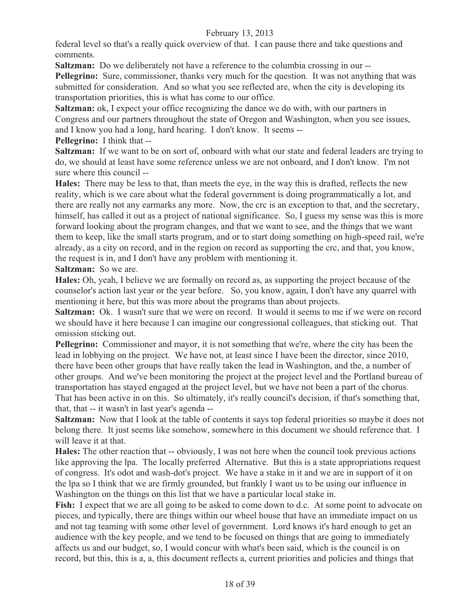federal level so that's a really quick overview of that. I can pause there and take questions and comments.

**Saltzman:** Do we deliberately not have a reference to the columbia crossing in our --

**Pellegrino:** Sure, commissioner, thanks very much for the question. It was not anything that was submitted for consideration. And so what you see reflected are, when the city is developing its transportation priorities, this is what has come to our office.

**Saltzman:** ok, I expect your office recognizing the dance we do with, with our partners in Congress and our partners throughout the state of Oregon and Washington, when you see issues, and I know you had a long, hard hearing. I don't know. It seems --

**Pellegrino:** I think that --

**Saltzman:** If we want to be on sort of, onboard with what our state and federal leaders are trying to do, we should at least have some reference unless we are not onboard, and I don't know. I'm not sure where this council --

**Hales:** There may be less to that, than meets the eye, in the way this is drafted, reflects the new reality, which is we care about what the federal government is doing programmatically a lot, and there are really not any earmarks any more. Now, the crc is an exception to that, and the secretary, himself, has called it out as a project of national significance. So, I guess my sense was this is more forward looking about the program changes, and that we want to see, and the things that we want them to keep, like the small starts program, and or to start doing something on high-speed rail, we're already, as a city on record, and in the region on record as supporting the crc, and that, you know, the request is in, and I don't have any problem with mentioning it.

**Saltzman:** So we are.

**Hales:** Oh, yeah, I believe we are formally on record as, as supporting the project because of the counselor's action last year or the year before. So, you know, again, I don't have any quarrel with mentioning it here, but this was more about the programs than about projects.

**Saltzman:** Ok. I wasn't sure that we were on record. It would it seems to me if we were on record we should have it here because I can imagine our congressional colleagues, that sticking out. That omission sticking out.

**Pellegrino:** Commissioner and mayor, it is not something that we're, where the city has been the lead in lobbying on the project. We have not, at least since I have been the director, since 2010, there have been other groups that have really taken the lead in Washington, and the, a number of other groups. And we've been monitoring the project at the project level and the Portland bureau of transportation has stayed engaged at the project level, but we have not been a part of the chorus. That has been active in on this. So ultimately, it's really council's decision, if that's something that, that, that -- it wasn't in last year's agenda --

**Saltzman:** Now that I look at the table of contents it says top federal priorities so maybe it does not belong there. It just seems like somehow, somewhere in this document we should reference that. I will leave it at that.

**Hales:** The other reaction that -- obviously, I was not here when the council took previous actions like approving the lpa. The locally preferred Alternative. But this is a state appropriations request of congress. It's odot and wash-dot's project. We have a stake in it and we are in support of it on the lpa so I think that we are firmly grounded, but frankly I want us to be using our influence in Washington on the things on this list that we have a particular local stake in.

Fish: I expect that we are all going to be asked to come down to d.c. At some point to advocate on pieces, and typically, there are things within our wheel house that have an immediate impact on us and not tag teaming with some other level of government. Lord knows it's hard enough to get an audience with the key people, and we tend to be focused on things that are going to immediately affects us and our budget, so, I would concur with what's been said, which is the council is on record, but this, this is a, a, this document reflects a, current priorities and policies and things that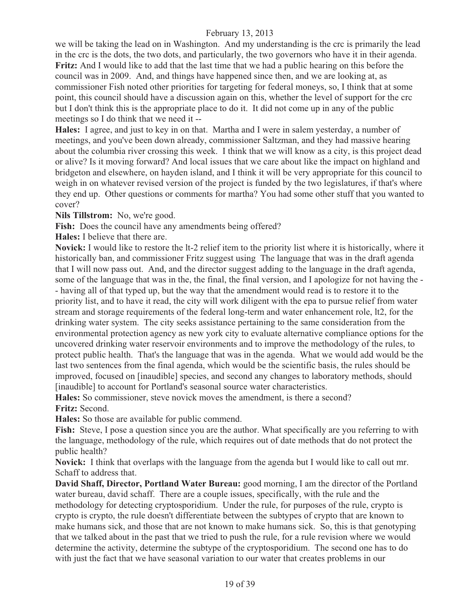we will be taking the lead on in Washington. And my understanding is the crc is primarily the lead in the crc is the dots, the two dots, and particularly, the two governors who have it in their agenda. **Fritz:** And I would like to add that the last time that we had a public hearing on this before the council was in 2009. And, and things have happened since then, and we are looking at, as commissioner Fish noted other priorities for targeting for federal moneys, so, I think that at some point, this council should have a discussion again on this, whether the level of support for the crc but I don't think this is the appropriate place to do it. It did not come up in any of the public meetings so I do think that we need it --

**Hales:** I agree, and just to key in on that. Martha and I were in salem yesterday, a number of meetings, and you've been down already, commissioner Saltzman, and they had massive hearing about the columbia river crossing this week. I think that we will know as a city, is this project dead or alive? Is it moving forward? And local issues that we care about like the impact on highland and bridgeton and elsewhere, on hayden island, and I think it will be very appropriate for this council to weigh in on whatever revised version of the project is funded by the two legislatures, if that's where they end up. Other questions or comments for martha? You had some other stuff that you wanted to cover?

**Nils Tillstrom:** No, we're good.

**Fish:** Does the council have any amendments being offered?

**Hales:** I believe that there are.

**Novick:** I would like to restore the lt-2 relief item to the priority list where it is historically, where it historically ban, and commissioner Fritz suggest using The language that was in the draft agenda that I will now pass out. And, and the director suggest adding to the language in the draft agenda, some of the language that was in the, the final, the final version, and I apologize for not having the - - having all of that typed up, but the way that the amendment would read is to restore it to the priority list, and to have it read, the city will work diligent with the epa to pursue relief from water stream and storage requirements of the federal long-term and water enhancement role, lt2, for the drinking water system. The city seeks assistance pertaining to the same consideration from the environmental protection agency as new york city to evaluate alternative compliance options for the uncovered drinking water reservoir environments and to improve the methodology of the rules, to protect public health. That's the language that was in the agenda. What we would add would be the last two sentences from the final agenda, which would be the scientific basis, the rules should be improved, focused on [inaudible] species, and second any changes to laboratory methods, should [inaudible] to account for Portland's seasonal source water characteristics.

**Hales:** So commissioner, steve novick moves the amendment, is there a second? **Fritz:** Second.

**Hales:** So those are available for public commend.

**Fish:** Steve, I pose a question since you are the author. What specifically are you referring to with the language, methodology of the rule, which requires out of date methods that do not protect the public health?

**Novick:** I think that overlaps with the language from the agenda but I would like to call out mr. Schaff to address that.

**David Shaff, Director, Portland Water Bureau:** good morning, I am the director of the Portland water bureau, david schaff. There are a couple issues, specifically, with the rule and the methodology for detecting cryptosporidium. Under the rule, for purposes of the rule, crypto is crypto is crypto, the rule doesn't differentiate between the subtypes of crypto that are known to make humans sick, and those that are not known to make humans sick. So, this is that genotyping that we talked about in the past that we tried to push the rule, for a rule revision where we would determine the activity, determine the subtype of the cryptosporidium. The second one has to do with just the fact that we have seasonal variation to our water that creates problems in our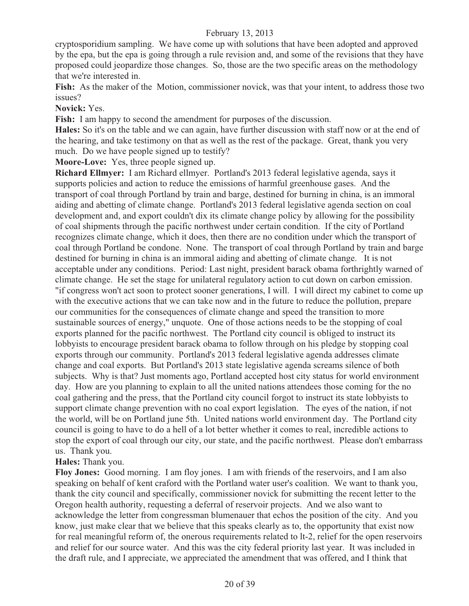cryptosporidium sampling. We have come up with solutions that have been adopted and approved by the epa, but the epa is going through a rule revision and, and some of the revisions that they have proposed could jeopardize those changes. So, those are the two specific areas on the methodology that we're interested in.

Fish: As the maker of the Motion, commissioner novick, was that your intent, to address those two issues?

#### **Novick:** Yes.

**Fish:** I am happy to second the amendment for purposes of the discussion.

**Hales:** So it's on the table and we can again, have further discussion with staff now or at the end of the hearing, and take testimony on that as well as the rest of the package. Great, thank you very much. Do we have people signed up to testify?

**Moore-Love:** Yes, three people signed up.

**Richard Ellmyer:** I am Richard ellmyer. Portland's 2013 federal legislative agenda, says it supports policies and action to reduce the emissions of harmful greenhouse gases. And the transport of coal through Portland by train and barge, destined for burning in china, is an immoral aiding and abetting of climate change. Portland's 2013 federal legislative agenda section on coal development and, and export couldn't dix its climate change policy by allowing for the possibility of coal shipments through the pacific northwest under certain condition. If the city of Portland recognizes climate change, which it does, then there are no condition under which the transport of coal through Portland be condone. None. The transport of coal through Portland by train and barge destined for burning in china is an immoral aiding and abetting of climate change. It is not acceptable under any conditions. Period: Last night, president barack obama forthrightly warned of climate change. He set the stage for unilateral regulatory action to cut down on carbon emission. "if congress won't act soon to protect sooner generations, I will. I will direct my cabinet to come up with the executive actions that we can take now and in the future to reduce the pollution, prepare our communities for the consequences of climate change and speed the transition to more sustainable sources of energy," unquote. One of those actions needs to be the stopping of coal exports planned for the pacific northwest. The Portland city council is obliged to instruct its lobbyists to encourage president barack obama to follow through on his pledge by stopping coal exports through our community. Portland's 2013 federal legislative agenda addresses climate change and coal exports. But Portland's 2013 state legislative agenda screams silence of both subjects. Why is that? Just moments ago, Portland accepted host city status for world environment day. How are you planning to explain to all the united nations attendees those coming for the no coal gathering and the press, that the Portland city council forgot to instruct its state lobbyists to support climate change prevention with no coal export legislation. The eyes of the nation, if not the world, will be on Portland june 5th. United nations world environment day. The Portland city council is going to have to do a hell of a lot better whether it comes to real, incredible actions to stop the export of coal through our city, our state, and the pacific northwest. Please don't embarrass us. Thank you.

#### **Hales:** Thank you.

**Floy Jones:** Good morning. I am floy jones. I am with friends of the reservoirs, and I am also speaking on behalf of kent craford with the Portland water user's coalition. We want to thank you, thank the city council and specifically, commissioner novick for submitting the recent letter to the Oregon health authority, requesting a deferral of reservoir projects. And we also want to acknowledge the letter from congressman blumenauer that echos the position of the city. And you know, just make clear that we believe that this speaks clearly as to, the opportunity that exist now for real meaningful reform of, the onerous requirements related to lt-2, relief for the open reservoirs and relief for our source water. And this was the city federal priority last year. It was included in the draft rule, and I appreciate, we appreciated the amendment that was offered, and I think that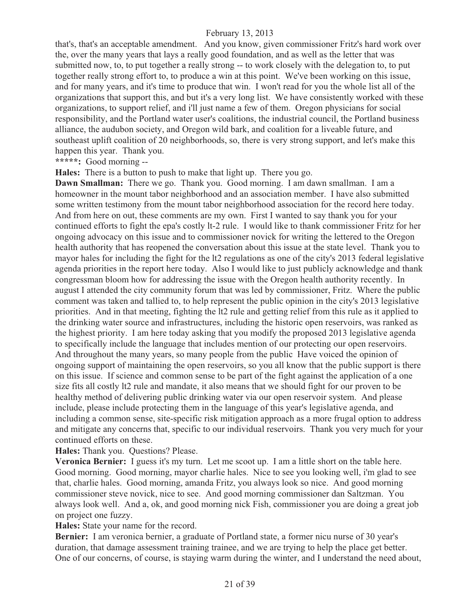that's, that's an acceptable amendment. And you know, given commissioner Fritz's hard work over the, over the many years that lays a really good foundation, and as well as the letter that was submitted now, to, to put together a really strong -- to work closely with the delegation to, to put together really strong effort to, to produce a win at this point. We've been working on this issue, and for many years, and it's time to produce that win. I won't read for you the whole list all of the organizations that support this, and but it's a very long list. We have consistently worked with these organizations, to support relief, and i'll just name a few of them. Oregon physicians for social responsibility, and the Portland water user's coalitions, the industrial council, the Portland business alliance, the audubon society, and Oregon wild bark, and coalition for a liveable future, and southeast uplift coalition of 20 neighborhoods, so, there is very strong support, and let's make this happen this year. Thank you.

**\*\*\*\*\*:** Good morning --

**Hales:** There is a button to push to make that light up. There you go.

**Dawn Smallman:** There we go. Thank you. Good morning. I am dawn smallman. I am a homeowner in the mount tabor neighborhood and an association member. I have also submitted some written testimony from the mount tabor neighborhood association for the record here today. And from here on out, these comments are my own. First I wanted to say thank you for your continued efforts to fight the epa's costly lt-2 rule. I would like to thank commissioner Fritz for her ongoing advocacy on this issue and to commissioner novick for writing the lettered to the Oregon health authority that has reopened the conversation about this issue at the state level. Thank you to mayor hales for including the fight for the lt2 regulations as one of the city's 2013 federal legislative agenda priorities in the report here today. Also I would like to just publicly acknowledge and thank congressman bloom how for addressing the issue with the Oregon health authority recently. In august I attended the city community forum that was led by commissioner, Fritz. Where the public comment was taken and tallied to, to help represent the public opinion in the city's 2013 legislative priorities. And in that meeting, fighting the lt2 rule and getting relief from this rule as it applied to the drinking water source and infrastructures, including the historic open reservoirs, was ranked as the highest priority. I am here today asking that you modify the proposed 2013 legislative agenda to specifically include the language that includes mention of our protecting our open reservoirs. And throughout the many years, so many people from the public Have voiced the opinion of ongoing support of maintaining the open reservoirs, so you all know that the public support is there on this issue. If science and common sense to be part of the fight against the application of a one size fits all costly lt2 rule and mandate, it also means that we should fight for our proven to be healthy method of delivering public drinking water via our open reservoir system. And please include, please include protecting them in the language of this year's legislative agenda, and including a common sense, site-specific risk mitigation approach as a more frugal option to address and mitigate any concerns that, specific to our individual reservoirs. Thank you very much for your continued efforts on these.

#### **Hales:** Thank you. Questions? Please.

**Veronica Bernier:** I guess it's my turn. Let me scoot up. I am a little short on the table here. Good morning. Good morning, mayor charlie hales. Nice to see you looking well, i'm glad to see that, charlie hales. Good morning, amanda Fritz, you always look so nice. And good morning commissioner steve novick, nice to see. And good morning commissioner dan Saltzman. You always look well. And a, ok, and good morning nick Fish, commissioner you are doing a great job on project one fuzzy.

**Hales:** State your name for the record.

**Bernier:** I am veronica bernier, a graduate of Portland state, a former nicu nurse of 30 year's duration, that damage assessment training trainee, and we are trying to help the place get better. One of our concerns, of course, is staying warm during the winter, and I understand the need about,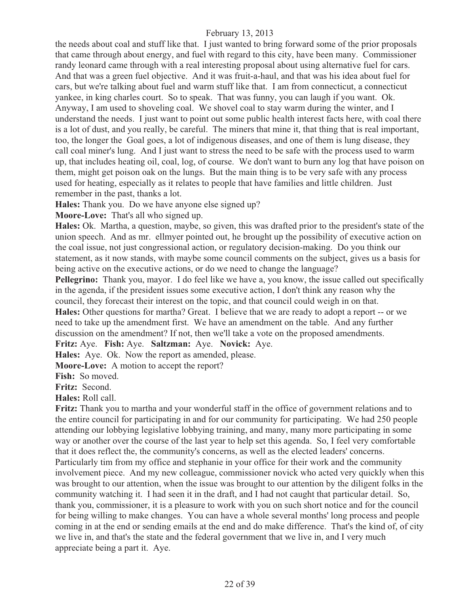the needs about coal and stuff like that. I just wanted to bring forward some of the prior proposals that came through about energy, and fuel with regard to this city, have been many. Commissioner randy leonard came through with a real interesting proposal about using alternative fuel for cars. And that was a green fuel objective. And it was fruit-a-haul, and that was his idea about fuel for cars, but we're talking about fuel and warm stuff like that. I am from connecticut, a connecticut yankee, in king charles court. So to speak. That was funny, you can laugh if you want. Ok. Anyway, I am used to shoveling coal. We shovel coal to stay warm during the winter, and I understand the needs. I just want to point out some public health interest facts here, with coal there is a lot of dust, and you really, be careful. The miners that mine it, that thing that is real important, too, the longer the Goal goes, a lot of indigenous diseases, and one of them is lung disease, they call coal miner's lung. And I just want to stress the need to be safe with the process used to warm up, that includes heating oil, coal, log, of course. We don't want to burn any log that have poison on them, might get poison oak on the lungs. But the main thing is to be very safe with any process used for heating, especially as it relates to people that have families and little children. Just remember in the past, thanks a lot.

**Hales:** Thank you. Do we have anyone else signed up?

**Moore-Love:** That's all who signed up.

**Hales:** Ok. Martha, a question, maybe, so given, this was drafted prior to the president's state of the union speech. And as mr. ellmyer pointed out, he brought up the possibility of executive action on the coal issue, not just congressional action, or regulatory decision-making. Do you think our statement, as it now stands, with maybe some council comments on the subject, gives us a basis for being active on the executive actions, or do we need to change the language?

**Pellegrino:** Thank you, mayor. I do feel like we have a, you know, the issue called out specifically in the agenda, if the president issues some executive action, I don't think any reason why the council, they forecast their interest on the topic, and that council could weigh in on that. **Hales:** Other questions for martha? Great. I believe that we are ready to adopt a report -- or we need to take up the amendment first. We have an amendment on the table. And any further discussion on the amendment? If not, then we'll take a vote on the proposed amendments.

**Fritz:** Aye. **Fish:** Aye. **Saltzman:** Aye. **Novick:** Aye.

**Hales:** Aye. Ok. Now the report as amended, please.

**Moore-Love:** A motion to accept the report?

**Fish:** So moved.

**Fritz:** Second.

**Hales:** Roll call.

**Fritz:** Thank you to martha and your wonderful staff in the office of government relations and to the entire council for participating in and for our community for participating. We had 250 people attending our lobbying legislative lobbying training, and many, many more participating in some way or another over the course of the last year to help set this agenda. So, I feel very comfortable that it does reflect the, the community's concerns, as well as the elected leaders' concerns. Particularly tim from my office and stephanie in your office for their work and the community involvement piece. And my new colleague, commissioner novick who acted very quickly when this was brought to our attention, when the issue was brought to our attention by the diligent folks in the community watching it. I had seen it in the draft, and I had not caught that particular detail. So, thank you, commissioner, it is a pleasure to work with you on such short notice and for the council for being willing to make changes. You can have a whole several months' long process and people coming in at the end or sending emails at the end and do make difference. That's the kind of, of city we live in, and that's the state and the federal government that we live in, and I very much appreciate being a part it. Aye.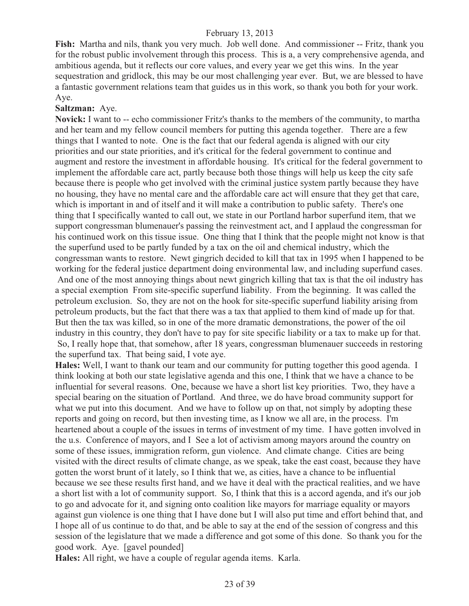**Fish:** Martha and nils, thank you very much. Job well done. And commissioner -- Fritz, thank you for the robust public involvement through this process. This is a, a very comprehensive agenda, and ambitious agenda, but it reflects our core values, and every year we get this wins. In the year sequestration and gridlock, this may be our most challenging year ever. But, we are blessed to have a fantastic government relations team that guides us in this work, so thank you both for your work. Aye.

#### **Saltzman:** Aye.

**Novick:** I want to -- echo commissioner Fritz's thanks to the members of the community, to martha and her team and my fellow council members for putting this agenda together. There are a few things that I wanted to note. One is the fact that our federal agenda is aligned with our city priorities and our state priorities, and it's critical for the federal government to continue and augment and restore the investment in affordable housing. It's critical for the federal government to implement the affordable care act, partly because both those things will help us keep the city safe because there is people who get involved with the criminal justice system partly because they have no housing, they have no mental care and the affordable care act will ensure that they get that care, which is important in and of itself and it will make a contribution to public safety. There's one thing that I specifically wanted to call out, we state in our Portland harbor superfund item, that we support congressman blumenauer's passing the reinvestment act, and I applaud the congressman for his continued work on this tissue issue. One thing that I think that the people might not know is that the superfund used to be partly funded by a tax on the oil and chemical industry, which the congressman wants to restore. Newt gingrich decided to kill that tax in 1995 when I happened to be working for the federal justice department doing environmental law, and including superfund cases. And one of the most annoying things about newt gingrich killing that tax is that the oil industry has a special exemption From site-specific superfund liability. From the beginning. It was called the

petroleum exclusion. So, they are not on the hook for site-specific superfund liability arising from petroleum products, but the fact that there was a tax that applied to them kind of made up for that. But then the tax was killed, so in one of the more dramatic demonstrations, the power of the oil industry in this country, they don't have to pay for site specific liability or a tax to make up for that. So, I really hope that, that somehow, after 18 years, congressman blumenauer succeeds in restoring the superfund tax. That being said, I vote aye.

**Hales:** Well, I want to thank our team and our community for putting together this good agenda. I think looking at both our state legislative agenda and this one, I think that we have a chance to be influential for several reasons. One, because we have a short list key priorities. Two, they have a special bearing on the situation of Portland. And three, we do have broad community support for what we put into this document. And we have to follow up on that, not simply by adopting these reports and going on record, but then investing time, as I know we all are, in the process. I'm heartened about a couple of the issues in terms of investment of my time. I have gotten involved in the u.s. Conference of mayors, and I See a lot of activism among mayors around the country on some of these issues, immigration reform, gun violence. And climate change. Cities are being visited with the direct results of climate change, as we speak, take the east coast, because they have gotten the worst brunt of it lately, so I think that we, as cities, have a chance to be influential because we see these results first hand, and we have it deal with the practical realities, and we have a short list with a lot of community support. So, I think that this is a accord agenda, and it's our job to go and advocate for it, and signing onto coalition like mayors for marriage equality or mayors against gun violence is one thing that I have done but I will also put time and effort behind that, and I hope all of us continue to do that, and be able to say at the end of the session of congress and this session of the legislature that we made a difference and got some of this done. So thank you for the good work. Aye. [gavel pounded]

**Hales:** All right, we have a couple of regular agenda items. Karla.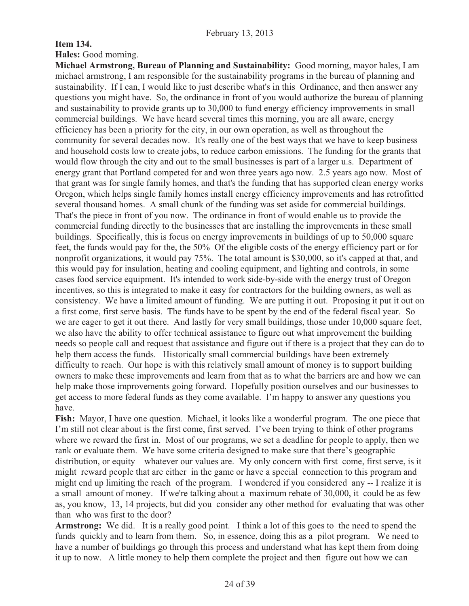## **Item 134.**

**Hales:** Good morning.

**Michael Armstrong, Bureau of Planning and Sustainability:** Good morning, mayor hales, I am michael armstrong, I am responsible for the sustainability programs in the bureau of planning and sustainability. If I can, I would like to just describe what's in this Ordinance, and then answer any questions you might have. So, the ordinance in front of you would authorize the bureau of planning and sustainability to provide grants up to 30,000 to fund energy efficiency improvements in small commercial buildings. We have heard several times this morning, you are all aware, energy efficiency has been a priority for the city, in our own operation, as well as throughout the community for several decades now. It's really one of the best ways that we have to keep business and household costs low to create jobs, to reduce carbon emissions. The funding for the grants that would flow through the city and out to the small businesses is part of a larger u.s. Department of energy grant that Portland competed for and won three years ago now. 2.5 years ago now. Most of that grant was for single family homes, and that's the funding that has supported clean energy works Oregon, which helps single family homes install energy efficiency improvements and has retrofitted several thousand homes. A small chunk of the funding was set aside for commercial buildings. That's the piece in front of you now. The ordinance in front of would enable us to provide the commercial funding directly to the businesses that are installing the improvements in these small buildings. Specifically, this is focus on energy improvements in buildings of up to 50,000 square feet, the funds would pay for the, the 50% Of the eligible costs of the energy efficiency part or for nonprofit organizations, it would pay 75%. The total amount is \$30,000, so it's capped at that, and this would pay for insulation, heating and cooling equipment, and lighting and controls, in some cases food service equipment. It's intended to work side-by-side with the energy trust of Oregon incentives, so this is integrated to make it easy for contractors for the building owners, as well as consistency. We have a limited amount of funding. We are putting it out. Proposing it put it out on a first come, first serve basis. The funds have to be spent by the end of the federal fiscal year. So we are eager to get it out there. And lastly for very small buildings, those under 10,000 square feet, we also have the ability to offer technical assistance to figure out what improvement the building needs so people call and request that assistance and figure out if there is a project that they can do to help them access the funds. Historically small commercial buildings have been extremely difficulty to reach. Our hope is with this relatively small amount of money is to support building owners to make these improvements and learn from that as to what the barriers are and how we can help make those improvements going forward. Hopefully position ourselves and our businesses to get access to more federal funds as they come available. I'm happy to answer any questions you have.

**Fish:** Mayor, I have one question. Michael, it looks like a wonderful program. The one piece that I'm still not clear about is the first come, first served. I've been trying to think of other programs where we reward the first in. Most of our programs, we set a deadline for people to apply, then we rank or evaluate them. We have some criteria designed to make sure that there's geographic distribution, or equity—whatever our values are. My only concern with first come, first serve, is it might reward people that are either in the game or have a special connection to this program and might end up limiting the reach of the program. I wondered if you considered any -- I realize it is a small amount of money. If we're talking about a maximum rebate of 30,000, it could be as few as, you know, 13, 14 projects, but did you consider any other method for evaluating that was other than who was first to the door?

**Armstrong:** We did. It is a really good point. I think a lot of this goes to the need to spend the funds quickly and to learn from them. So, in essence, doing this as a pilot program. We need to have a number of buildings go through this process and understand what has kept them from doing it up to now. A little money to help them complete the project and then figure out how we can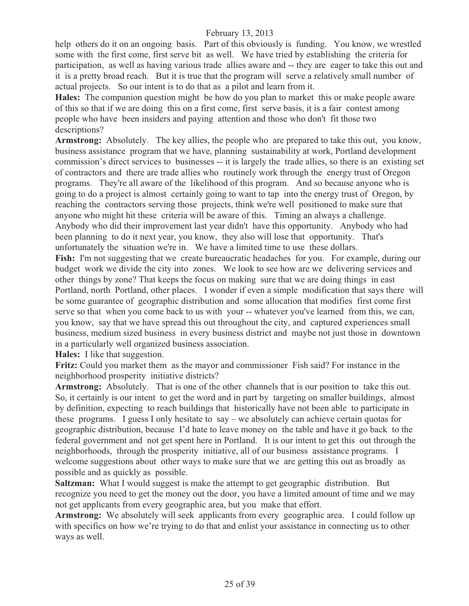help others do it on an ongoing basis. Part of this obviously is funding. You know, we wrestled some with the first come, first serve bit as well. We have tried by establishing the criteria for participation, as well as having various trade allies aware and -- they are eager to take this out and it is a pretty broad reach. But it is true that the program will serve a relatively small number of actual projects. So our intent is to do that as a pilot and learn from it.

**Hales:** The companion question might be how do you plan to market this or make people aware of this so that if we are doing this on a first come, first serve basis, it is a fair contest among people who have been insiders and paying attention and those who don't fit those two descriptions?

Armstrong: Absolutely. The key allies, the people who are prepared to take this out, you know, business assistance program that we have, planning sustainability at work, Portland development commission's direct services to businesses -- it is largely the trade allies, so there is an existing set of contractors and there are trade allies who routinely work through the energy trust of Oregon programs. They're all aware of the likelihood of this program. And so because anyone who is going to do a project is almost certainly going to want to tap into the energy trust of Oregon, by reaching the contractors serving those projects, think we're well positioned to make sure that anyone who might hit these criteria will be aware of this. Timing an always a challenge. Anybody who did their improvement last year didn't have this opportunity. Anybody who had been planning to do it next year, you know, they also will lose that opportunity. That's unfortunately the situation we're in. We have a limited time to use these dollars.

Fish: I'm not suggesting that we create bureaucratic headaches for you. For example, during our budget work we divide the city into zones. We look to see how are we delivering services and other things by zone? That keeps the focus on making sure that we are doing things in east Portland, north Portland, other places. I wonder if even a simple modification that says there will be some guarantee of geographic distribution and some allocation that modifies first come first serve so that when you come back to us with your -- whatever you've learned from this, we can, you know, say that we have spread this out throughout the city, and captured experiences small business, medium sized business in every business district and maybe not just those in downtown in a particularly well organized business association.

**Hales:** I like that suggestion.

**Fritz:** Could you market them as the mayor and commissioner Fish said? For instance in the neighborhood prosperity initiative districts?

**Armstrong:** Absolutely. That is one of the other channels that is our position to take this out. So, it certainly is our intent to get the word and in part by targeting on smaller buildings, almost by definition, expecting to reach buildings that historically have not been able to participate in these programs. I guess I only hesitate to say – we absolutely can achieve certain quotas for geographic distribution, because I'd hate to leave money on the table and have it go back to the federal government and not get spent here in Portland. It is our intent to get this out through the neighborhoods, through the prosperity initiative, all of our business assistance programs. I welcome suggestions about other ways to make sure that we are getting this out as broadly as possible and as quickly as possible.

**Saltzman:** What I would suggest is make the attempt to get geographic distribution. But recognize you need to get the money out the door, you have a limited amount of time and we may not get applicants from every geographic area, but you make that effort.

**Armstrong:** We absolutely will seek applicants from every geographic area. I could follow up with specifics on how we're trying to do that and enlist your assistance in connecting us to other ways as well.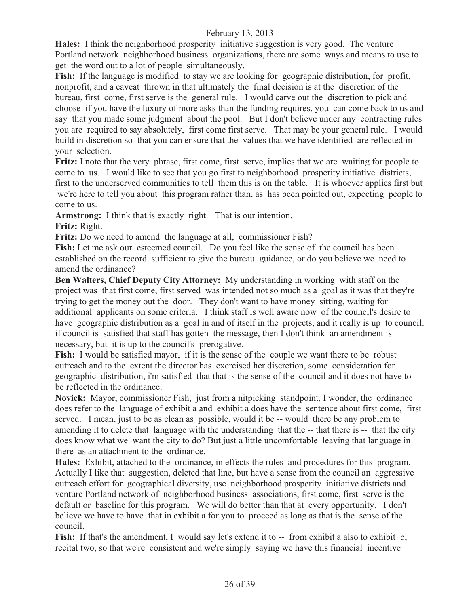**Hales:** I think the neighborhood prosperity initiative suggestion is very good. The venture Portland network neighborhood business organizations, there are some ways and means to use to get the word out to a lot of people simultaneously.

**Fish:** If the language is modified to stay we are looking for geographic distribution, for profit, nonprofit, and a caveat thrown in that ultimately the final decision is at the discretion of the bureau, first come, first serve is the general rule. I would carve out the discretion to pick and choose if you have the luxury of more asks than the funding requires, you can come back to us and say that you made some judgment about the pool. But I don't believe under any contracting rules you are required to say absolutely, first come first serve. That may be your general rule. I would build in discretion so that you can ensure that the values that we have identified are reflected in your selection.

**Fritz:** I note that the very phrase, first come, first serve, implies that we are waiting for people to come to us. I would like to see that you go first to neighborhood prosperity initiative districts, first to the underserved communities to tell them this is on the table. It is whoever applies first but we're here to tell you about this program rather than, as has been pointed out, expecting people to come to us.

**Armstrong:** I think that is exactly right. That is our intention.

**Fritz:** Right.

**Fritz:** Do we need to amend the language at all, commissioner Fish?

**Fish:** Let me ask our esteemed council. Do you feel like the sense of the council has been established on the record sufficient to give the bureau guidance, or do you believe we need to amend the ordinance?

**Ben Walters, Chief Deputy City Attorney:** My understanding in working with staff on the project was that first come, first served was intended not so much as a goal as it was that they're trying to get the money out the door. They don't want to have money sitting, waiting for additional applicants on some criteria. I think staff is well aware now of the council's desire to have geographic distribution as a goal in and of itself in the projects, and it really is up to council, if council is satisfied that staff has gotten the message, then I don't think an amendment is necessary, but it is up to the council's prerogative.

**Fish:** I would be satisfied mayor, if it is the sense of the couple we want there to be robust outreach and to the extent the director has exercised her discretion, some consideration for geographic distribution, i'm satisfied that that is the sense of the council and it does not have to be reflected in the ordinance.

**Novick:** Mayor, commissioner Fish, just from a nitpicking standpoint, I wonder, the ordinance does refer to the language of exhibit a and exhibit a does have the sentence about first come, first served. I mean, just to be as clean as possible, would it be -- would there be any problem to amending it to delete that language with the understanding that the -- that there is -- that the city does know what we want the city to do? But just a little uncomfortable leaving that language in there as an attachment to the ordinance.

**Hales:** Exhibit, attached to the ordinance, in effects the rules and procedures for this program. Actually I like that suggestion, deleted that line, but have a sense from the council an aggressive outreach effort for geographical diversity, use neighborhood prosperity initiative districts and venture Portland network of neighborhood business associations, first come, first serve is the default or baseline for this program. We will do better than that at every opportunity. I don't believe we have to have that in exhibit a for you to proceed as long as that is the sense of the council.

**Fish:** If that's the amendment, I would say let's extend it to -- from exhibit a also to exhibit b, recital two, so that we're consistent and we're simply saying we have this financial incentive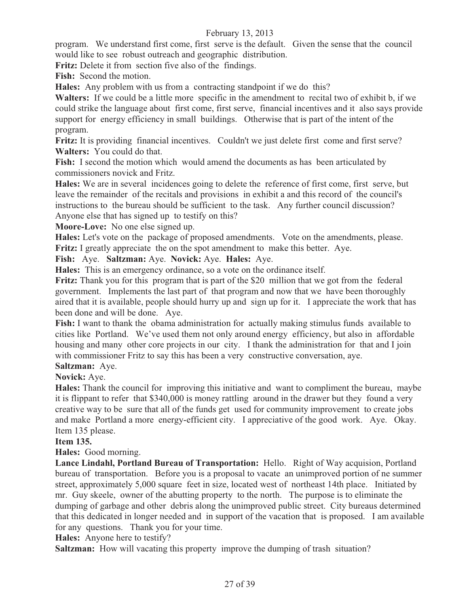program. We understand first come, first serve is the default. Given the sense that the council would like to see robust outreach and geographic distribution.

**Fritz:** Delete it from section five also of the findings.

**Fish:** Second the motion.

**Hales:** Any problem with us from a contracting standpoint if we do this?

**Walters:** If we could be a little more specific in the amendment to recital two of exhibit b, if we could strike the language about first come, first serve, financial incentives and it also says provide support for energy efficiency in small buildings. Otherwise that is part of the intent of the program.

**Fritz:** It is providing financial incentives. Couldn't we just delete first come and first serve? **Walters:** You could do that.

**Fish:** I second the motion which would amend the documents as has been articulated by commissioners novick and Fritz.

**Hales:** We are in several incidences going to delete the reference of first come, first serve, but leave the remainder of the recitals and provisions in exhibit a and this record of the council's instructions to the bureau should be sufficient to the task. Any further council discussion? Anyone else that has signed up to testify on this?

**Moore-Love:** No one else signed up.

**Hales:** Let's vote on the package of proposed amendments. Vote on the amendments, please. **Fritz:** I greatly appreciate the on the spot amendment to make this better. Aye.

**Fish:** Aye. **Saltzman:** Aye. **Novick:** Aye. **Hales:** Aye.

**Hales:** This is an emergency ordinance, so a vote on the ordinance itself.

**Fritz:** Thank you for this program that is part of the \$20 million that we got from the federal government. Implements the last part of that program and now that we have been thoroughly aired that it is available, people should hurry up and sign up for it. I appreciate the work that has been done and will be done. Aye.

**Fish:** I want to thank the obama administration for actually making stimulus funds available to cities like Portland. We've used them not only around energy efficiency, but also in affordable housing and many other core projects in our city. I thank the administration for that and I join with commissioner Fritz to say this has been a very constructive conversation, aye.

#### **Saltzman:** Aye. **Novick:** Aye.

**Hales:** Thank the council for improving this initiative and want to compliment the bureau, maybe it is flippant to refer that \$340,000 is money rattling around in the drawer but they found a very

creative way to be sure that all of the funds get used for community improvement to create jobs and make Portland a more energy-efficient city. I appreciative of the good work. Aye. Okay. Item 135 please.

#### **Item 135.**

**Hales:** Good morning.

**Lance Lindahl, Portland Bureau of Transportation:** Hello. Right of Way acquision, Portland bureau of transportation. Before you is a proposal to vacate an unimproved portion of ne summer street, approximately 5,000 square feet in size, located west of northeast 14th place. Initiated by mr. Guy skeele, owner of the abutting property to the north. The purpose is to eliminate the dumping of garbage and other debris along the unimproved public street. City bureaus determined that this dedicated in longer needed and in support of the vacation that is proposed. I am available for any questions. Thank you for your time.

**Hales:** Anyone here to testify?

**Saltzman:** How will vacating this property improve the dumping of trash situation?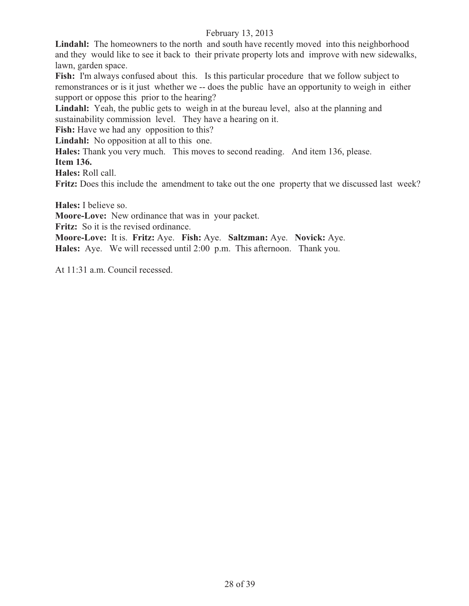Lindahl: The homeowners to the north and south have recently moved into this neighborhood and they would like to see it back to their private property lots and improve with new sidewalks, lawn, garden space.

**Fish:** I'm always confused about this. Is this particular procedure that we follow subject to remonstrances or is it just whether we -- does the public have an opportunity to weigh in either support or oppose this prior to the hearing?

Lindahl: Yeah, the public gets to weigh in at the bureau level, also at the planning and sustainability commission level. They have a hearing on it.

Fish: Have we had any opposition to this?

**Lindahl:** No opposition at all to this one.

**Hales:** Thank you very much. This moves to second reading. And item 136, please.

**Item 136.**

**Hales:** Roll call.

**Fritz:** Does this include the amendment to take out the one property that we discussed last week?

**Hales:** I believe so.

**Moore-Love:** New ordinance that was in your packet.

**Fritz:** So it is the revised ordinance.

**Moore-Love:** It is. **Fritz:** Aye. **Fish:** Aye. **Saltzman:** Aye. **Novick:** Aye.

**Hales:** Aye. We will recessed until 2:00 p.m. This afternoon. Thank you.

At 11:31 a.m. Council recessed.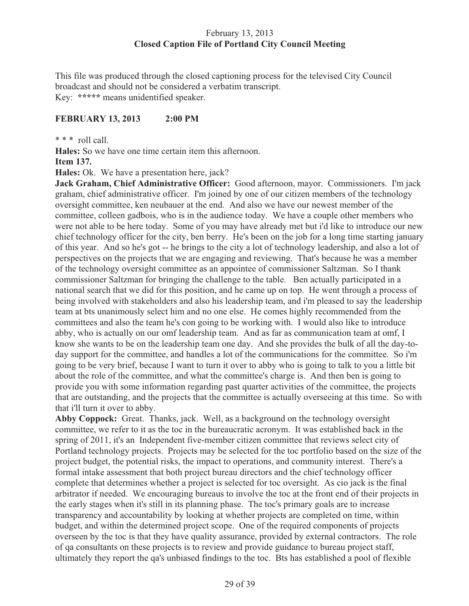## February 13, 2013 **Closed Caption File of Portland City Council Meeting**

This file was produced through the closed captioning process for the televised City Council broadcast and should not be considered a verbatim transcript. Key: **\*\*\*\*\*** means unidentified speaker.

## **FEBRUARY 13, 2013 2:00 PM**

\* \* \* roll call.

**Hales:** So we have one time certain item this afternoon.

## **Item 137.**

**Hales:** Ok. We have a presentation here, jack?

**Jack Graham, Chief Administrative Officer:** Good afternoon, mayor. Commissioners. I'm jack graham, chief administrative officer. I'm joined by one of our citizen members of the technology oversight committee, ken neubauer at the end. And also we have our newest member of the committee, colleen gadbois, who is in the audience today. We have a couple other members who were not able to be here today. Some of you may have already met but i'd like to introduce our new chief technology officer for the city, ben berry. He's been on the job for a long time starting january of this year. And so he's got -- he brings to the city a lot of technology leadership, and also a lot of perspectives on the projects that we are engaging and reviewing. That's because he was a member of the technology oversight committee as an appointee of commissioner Saltzman. So I thank commissioner Saltzman for bringing the challenge to the table. Ben actually participated in a national search that we did for this position, and he came up on top. He went through a process of being involved with stakeholders and also his leadership team, and i'm pleased to say the leadership team at bts unanimously select him and no one else. He comes highly recommended from the committees and also the team he's con going to be working with. I would also like to introduce abby, who is actually on our omf leadership team. And as far as communication team at omf, I know she wants to be on the leadership team one day. And she provides the bulk of all the day-today support for the committee, and handles a lot of the communications for the committee. So i'm going to be very brief, because I want to turn it over to abby who is going to talk to you a little bit about the role of the committee, and what the committee's charge is. And then ben is going to provide you with some information regarding past quarter activities of the committee, the projects that are outstanding, and the projects that the committee is actually overseeing at this time. So with that i'll turn it over to abby.

**Abby Coppock:** Great. Thanks, jack. Well, as a background on the technology oversight committee, we refer to it as the toc in the bureaucratic acronym. It was established back in the spring of 2011, it's an Independent five-member citizen committee that reviews select city of Portland technology projects. Projects may be selected for the toc portfolio based on the size of the project budget, the potential risks, the impact to operations, and community interest. There's a formal intake assessment that both project bureau directors and the chief technology officer complete that determines whether a project is selected for toc oversight. As cio jack is the final arbitrator if needed. We encouraging bureaus to involve the toc at the front end of their projects in the early stages when it's still in its planning phase. The toc's primary goals are to increase transparency and accountability by looking at whether projects are completed on time, within budget, and within the determined project scope. One of the required components of projects overseen by the toc is that they have quality assurance, provided by external contractors. The role of qa consultants on these projects is to review and provide guidance to bureau project staff, ultimately they report the qa's unbiased findings to the toc. Bts has established a pool of flexible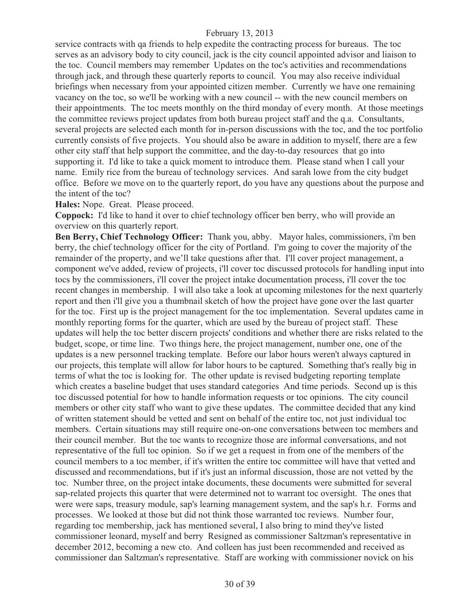service contracts with qa friends to help expedite the contracting process for bureaus. The toc serves as an advisory body to city council, jack is the city council appointed advisor and liaison to the toc. Council members may remember Updates on the toc's activities and recommendations through jack, and through these quarterly reports to council. You may also receive individual briefings when necessary from your appointed citizen member. Currently we have one remaining vacancy on the toc, so we'll be working with a new council -- with the new council members on their appointments. The toc meets monthly on the third monday of every month. At those meetings the committee reviews project updates from both bureau project staff and the q.a. Consultants, several projects are selected each month for in-person discussions with the toc, and the toc portfolio currently consists of five projects. You should also be aware in addition to myself, there are a few other city staff that help support the committee, and the day-to-day resources that go into supporting it. I'd like to take a quick moment to introduce them. Please stand when I call your name. Emily rice from the bureau of technology services. And sarah lowe from the city budget office. Before we move on to the quarterly report, do you have any questions about the purpose and the intent of the toc?

**Hales:** Nope. Great. Please proceed.

**Coppock:** I'd like to hand it over to chief technology officer ben berry, who will provide an overview on this quarterly report.

**Ben Berry, Chief Technology Officer:** Thank you, abby. Mayor hales, commissioners, i'm ben berry, the chief technology officer for the city of Portland. I'm going to cover the majority of the remainder of the property, and we'll take questions after that. I'll cover project management, a component we've added, review of projects, i'll cover toc discussed protocols for handling input into tocs by the commissioners, i'll cover the project intake documentation process, i'll cover the toc recent changes in membership. I will also take a look at upcoming milestones for the next quarterly report and then i'll give you a thumbnail sketch of how the project have gone over the last quarter for the toc. First up is the project management for the toc implementation. Several updates came in monthly reporting forms for the quarter, which are used by the bureau of project staff. These updates will help the toc better discern projects' conditions and whether there are risks related to the budget, scope, or time line. Two things here, the project management, number one, one of the updates is a new personnel tracking template. Before our labor hours weren't always captured in our projects, this template will allow for labor hours to be captured. Something that's really big in terms of what the toc is looking for. The other update is revised budgeting reporting template which creates a baseline budget that uses standard categories And time periods. Second up is this toc discussed potential for how to handle information requests or toc opinions. The city council members or other city staff who want to give these updates. The committee decided that any kind of written statement should be vetted and sent on behalf of the entire toc, not just individual toc members. Certain situations may still require one-on-one conversations between toc members and their council member. But the toc wants to recognize those are informal conversations, and not representative of the full toc opinion. So if we get a request in from one of the members of the council members to a toc member, if it's written the entire toc committee will have that vetted and discussed and recommendations, but if it's just an informal discussion, those are not vetted by the toc. Number three, on the project intake documents, these documents were submitted for several sap-related projects this quarter that were determined not to warrant toc oversight. The ones that were were saps, treasury module, sap's learning management system, and the sap's h.r. Forms and processes. We looked at those but did not think those warranted toc reviews. Number four, regarding toc membership, jack has mentioned several, I also bring to mind they've listed commissioner leonard, myself and berry Resigned as commissioner Saltzman's representative in december 2012, becoming a new cto. And colleen has just been recommended and received as commissioner dan Saltzman's representative. Staff are working with commissioner novick on his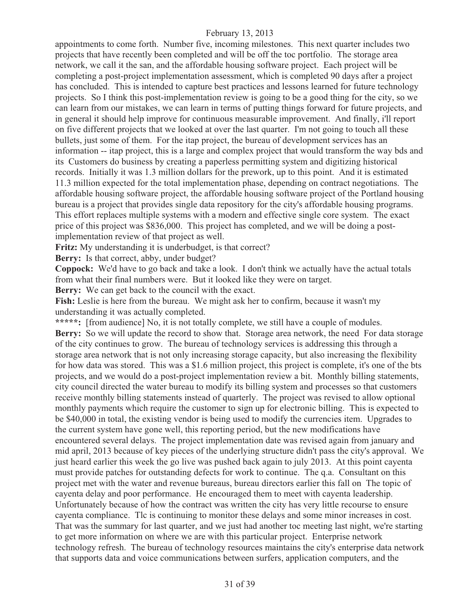appointments to come forth. Number five, incoming milestones. This next quarter includes two projects that have recently been completed and will be off the toc portfolio. The storage area network, we call it the san, and the affordable housing software project. Each project will be completing a post-project implementation assessment, which is completed 90 days after a project has concluded. This is intended to capture best practices and lessons learned for future technology projects. So I think this post-implementation review is going to be a good thing for the city, so we can learn from our mistakes, we can learn in terms of putting things forward for future projects, and in general it should help improve for continuous measurable improvement. And finally, i'll report on five different projects that we looked at over the last quarter. I'm not going to touch all these bullets, just some of them. For the itap project, the bureau of development services has an information -- itap project, this is a large and complex project that would transform the way bds and its Customers do business by creating a paperless permitting system and digitizing historical records. Initially it was 1.3 million dollars for the prework, up to this point. And it is estimated 11.3 million expected for the total implementation phase, depending on contract negotiations. The affordable housing software project, the affordable housing software project of the Portland housing bureau is a project that provides single data repository for the city's affordable housing programs. This effort replaces multiple systems with a modern and effective single core system. The exact price of this project was \$836,000. This project has completed, and we will be doing a postimplementation review of that project as well.

**Fritz:** My understanding it is underbudget, is that correct?

**Berry:** Is that correct, abby, under budget?

**Coppock:** We'd have to go back and take a look. I don't think we actually have the actual totals from what their final numbers were. But it looked like they were on target.

**Berry:** We can get back to the council with the exact.

**Fish:** Leslie is here from the bureau. We might ask her to confirm, because it wasn't my understanding it was actually completed.

\*\*\*\*\*: [from audience] No, it is not totally complete, we still have a couple of modules.

**Berry:** So we will update the record to show that. Storage area network, the need For data storage of the city continues to grow. The bureau of technology services is addressing this through a storage area network that is not only increasing storage capacity, but also increasing the flexibility for how data was stored. This was a \$1.6 million project, this project is complete, it's one of the bts projects, and we would do a post-project implementation review a bit. Monthly billing statements, city council directed the water bureau to modify its billing system and processes so that customers receive monthly billing statements instead of quarterly. The project was revised to allow optional monthly payments which require the customer to sign up for electronic billing. This is expected to be \$40,000 in total, the existing vendor is being used to modify the currencies item. Upgrades to the current system have gone well, this reporting period, but the new modifications have encountered several delays. The project implementation date was revised again from january and mid april, 2013 because of key pieces of the underlying structure didn't pass the city's approval. We just heard earlier this week the go live was pushed back again to july 2013. At this point cayenta must provide patches for outstanding defects for work to continue. The q.a. Consultant on this project met with the water and revenue bureaus, bureau directors earlier this fall on The topic of cayenta delay and poor performance. He encouraged them to meet with cayenta leadership. Unfortunately because of how the contract was written the city has very little recourse to ensure cayenta compliance. Tlc is continuing to monitor these delays and some minor increases in cost. That was the summary for last quarter, and we just had another toc meeting last night, we're starting to get more information on where we are with this particular project. Enterprise network technology refresh. The bureau of technology resources maintains the city's enterprise data network that supports data and voice communications between surfers, application computers, and the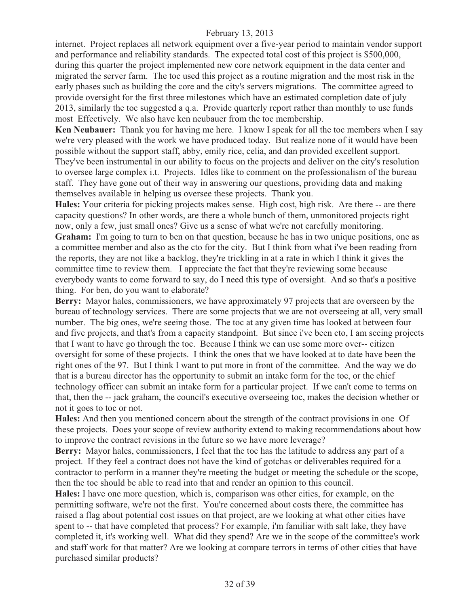internet. Project replaces all network equipment over a five-year period to maintain vendor support and performance and reliability standards. The expected total cost of this project is \$500,000, during this quarter the project implemented new core network equipment in the data center and migrated the server farm. The toc used this project as a routine migration and the most risk in the early phases such as building the core and the city's servers migrations. The committee agreed to provide oversight for the first three milestones which have an estimated completion date of july 2013, similarly the toc suggested a q.a. Provide quarterly report rather than monthly to use funds most Effectively. We also have ken neubauer from the toc membership.

**Ken Neubauer:** Thank you for having me here. I know I speak for all the toc members when I say we're very pleased with the work we have produced today. But realize none of it would have been possible without the support staff, abby, emily rice, celia, and dan provided excellent support. They've been instrumental in our ability to focus on the projects and deliver on the city's resolution to oversee large complex i.t. Projects. Idles like to comment on the professionalism of the bureau staff. They have gone out of their way in answering our questions, providing data and making themselves available in helping us oversee these projects. Thank you.

**Hales:** Your criteria for picking projects makes sense. High cost, high risk. Are there -- are there capacity questions? In other words, are there a whole bunch of them, unmonitored projects right now, only a few, just small ones? Give us a sense of what we're not carefully monitoring. **Graham:** I'm going to turn to ben on that question, because he has in two unique positions, one as a committee member and also as the cto for the city. But I think from what i've been reading from the reports, they are not like a backlog, they're trickling in at a rate in which I think it gives the committee time to review them. I appreciate the fact that they're reviewing some because everybody wants to come forward to say, do I need this type of oversight. And so that's a positive thing. For ben, do you want to elaborate?

**Berry:** Mayor hales, commissioners, we have approximately 97 projects that are overseen by the bureau of technology services. There are some projects that we are not overseeing at all, very small number. The big ones, we're seeing those. The toc at any given time has looked at between four and five projects, and that's from a capacity standpoint. But since i've been cto, I am seeing projects that I want to have go through the toc. Because I think we can use some more over-- citizen oversight for some of these projects. I think the ones that we have looked at to date have been the right ones of the 97. But I think I want to put more in front of the committee. And the way we do that is a bureau director has the opportunity to submit an intake form for the toc, or the chief technology officer can submit an intake form for a particular project. If we can't come to terms on that, then the -- jack graham, the council's executive overseeing toc, makes the decision whether or not it goes to toc or not.

**Hales:** And then you mentioned concern about the strength of the contract provisions in one Of these projects. Does your scope of review authority extend to making recommendations about how to improve the contract revisions in the future so we have more leverage?

**Berry:** Mayor hales, commissioners, I feel that the toc has the latitude to address any part of a project. If they feel a contract does not have the kind of gotchas or deliverables required for a contractor to perform in a manner they're meeting the budget or meeting the schedule or the scope, then the toc should be able to read into that and render an opinion to this council.

**Hales:** I have one more question, which is, comparison was other cities, for example, on the permitting software, we're not the first. You're concerned about costs there, the committee has raised a flag about potential cost issues on that project, are we looking at what other cities have spent to -- that have completed that process? For example, i'm familiar with salt lake, they have completed it, it's working well. What did they spend? Are we in the scope of the committee's work and staff work for that matter? Are we looking at compare terrors in terms of other cities that have purchased similar products?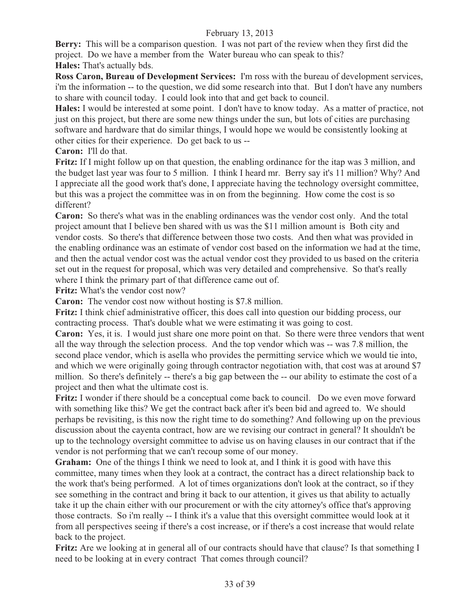**Berry:** This will be a comparison question. I was not part of the review when they first did the project. Do we have a member from the Water bureau who can speak to this?

**Hales:** That's actually bds.

**Ross Caron, Bureau of Development Services:** I'm ross with the bureau of development services, i'm the information -- to the question, we did some research into that. But I don't have any numbers to share with council today. I could look into that and get back to council.

**Hales:** I would be interested at some point. I don't have to know today. As a matter of practice, not just on this project, but there are some new things under the sun, but lots of cities are purchasing software and hardware that do similar things, I would hope we would be consistently looking at other cities for their experience. Do get back to us --

**Caron:** I'll do that.

**Fritz:** If I might follow up on that question, the enabling ordinance for the itap was 3 million, and the budget last year was four to 5 million. I think I heard mr. Berry say it's 11 million? Why? And I appreciate all the good work that's done, I appreciate having the technology oversight committee, but this was a project the committee was in on from the beginning. How come the cost is so different?

**Caron:** So there's what was in the enabling ordinances was the vendor cost only. And the total project amount that I believe ben shared with us was the \$11 million amount is Both city and vendor costs. So there's that difference between those two costs. And then what was provided in the enabling ordinance was an estimate of vendor cost based on the information we had at the time, and then the actual vendor cost was the actual vendor cost they provided to us based on the criteria set out in the request for proposal, which was very detailed and comprehensive. So that's really where I think the primary part of that difference came out of.

**Fritz:** What's the vendor cost now?

**Caron:** The vendor cost now without hosting is \$7.8 million.

**Fritz:** I think chief administrative officer, this does call into question our bidding process, our contracting process. That's double what we were estimating it was going to cost.

**Caron:** Yes, it is. I would just share one more point on that. So there were three vendors that went all the way through the selection process. And the top vendor which was -- was 7.8 million, the second place vendor, which is asella who provides the permitting service which we would tie into, and which we were originally going through contractor negotiation with, that cost was at around \$7 million. So there's definitely -- there's a big gap between the -- our ability to estimate the cost of a project and then what the ultimate cost is.

**Fritz:** I wonder if there should be a conceptual come back to council. Do we even move forward with something like this? We get the contract back after it's been bid and agreed to. We should perhaps be revisiting, is this now the right time to do something? And following up on the previous discussion about the cayenta contract, how are we revising our contract in general? It shouldn't be up to the technology oversight committee to advise us on having clauses in our contract that if the vendor is not performing that we can't recoup some of our money.

**Graham:** One of the things I think we need to look at, and I think it is good with have this committee, many times when they look at a contract, the contract has a direct relationship back to the work that's being performed. A lot of times organizations don't look at the contract, so if they see something in the contract and bring it back to our attention, it gives us that ability to actually take it up the chain either with our procurement or with the city attorney's office that's approving those contracts. So i'm really -- I think it's a value that this oversight committee would look at it from all perspectives seeing if there's a cost increase, or if there's a cost increase that would relate back to the project.

**Fritz:** Are we looking at in general all of our contracts should have that clause? Is that something I need to be looking at in every contract That comes through council?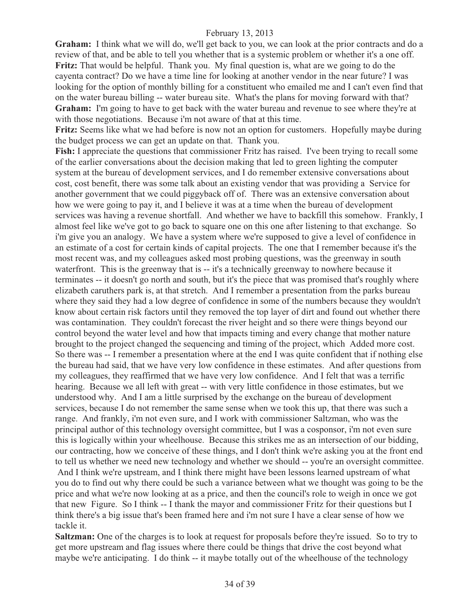**Graham:** I think what we will do, we'll get back to you, we can look at the prior contracts and do a review of that, and be able to tell you whether that is a systemic problem or whether it's a one off. **Fritz:** That would be helpful. Thank you. My final question is, what are we going to do the cayenta contract? Do we have a time line for looking at another vendor in the near future? I was looking for the option of monthly billing for a constituent who emailed me and I can't even find that on the water bureau billing -- water bureau site. What's the plans for moving forward with that? **Graham:** I'm going to have to get back with the water bureau and revenue to see where they're at with those negotiations. Because i'm not aware of that at this time.

**Fritz:** Seems like what we had before is now not an option for customers. Hopefully maybe during the budget process we can get an update on that. Thank you.

**Fish:** I appreciate the questions that commissioner Fritz has raised. I've been trying to recall some of the earlier conversations about the decision making that led to green lighting the computer system at the bureau of development services, and I do remember extensive conversations about cost, cost benefit, there was some talk about an existing vendor that was providing a Service for another government that we could piggyback off of. There was an extensive conversation about how we were going to pay it, and I believe it was at a time when the bureau of development services was having a revenue shortfall. And whether we have to backfill this somehow. Frankly, I almost feel like we've got to go back to square one on this one after listening to that exchange. So i'm give you an analogy. We have a system where we're supposed to give a level of confidence in an estimate of a cost for certain kinds of capital projects. The one that I remember because it's the most recent was, and my colleagues asked most probing questions, was the greenway in south waterfront. This is the greenway that is -- it's a technically greenway to nowhere because it terminates -- it doesn't go north and south, but it's the piece that was promised that's roughly where elizabeth caruthers park is, at that stretch. And I remember a presentation from the parks bureau where they said they had a low degree of confidence in some of the numbers because they wouldn't know about certain risk factors until they removed the top layer of dirt and found out whether there was contamination. They couldn't forecast the river height and so there were things beyond our control beyond the water level and how that impacts timing and every change that mother nature brought to the project changed the sequencing and timing of the project, which Added more cost. So there was -- I remember a presentation where at the end I was quite confident that if nothing else the bureau had said, that we have very low confidence in these estimates. And after questions from my colleagues, they reaffirmed that we have very low confidence. And I felt that was a terrific hearing. Because we all left with great -- with very little confidence in those estimates, but we understood why. And I am a little surprised by the exchange on the bureau of development services, because I do not remember the same sense when we took this up, that there was such a range. And frankly, i'm not even sure, and I work with commissioner Saltzman, who was the principal author of this technology oversight committee, but I was a cosponsor, i'm not even sure this is logically within your wheelhouse. Because this strikes me as an intersection of our bidding, our contracting, how we conceive of these things, and I don't think we're asking you at the front end to tell us whether we need new technology and whether we should -- you're an oversight committee.

 And I think we're upstream, and I think there might have been lessons learned upstream of what you do to find out why there could be such a variance between what we thought was going to be the price and what we're now looking at as a price, and then the council's role to weigh in once we got that new Figure. So I think -- I thank the mayor and commissioner Fritz for their questions but I think there's a big issue that's been framed here and i'm not sure I have a clear sense of how we tackle it.

**Saltzman:** One of the charges is to look at request for proposals before they're issued. So to try to get more upstream and flag issues where there could be things that drive the cost beyond what maybe we're anticipating. I do think -- it maybe totally out of the wheelhouse of the technology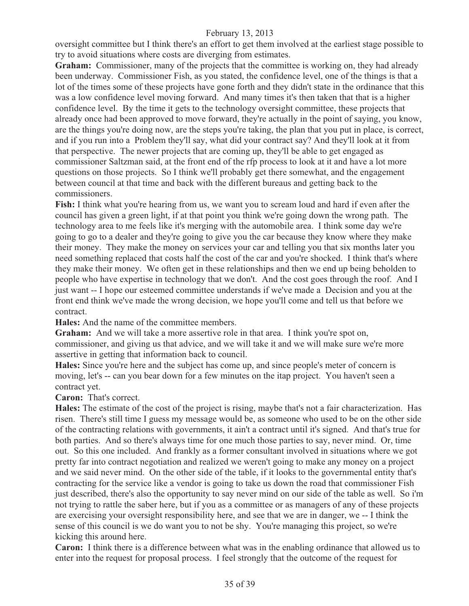oversight committee but I think there's an effort to get them involved at the earliest stage possible to try to avoid situations where costs are diverging from estimates.

Graham: Commissioner, many of the projects that the committee is working on, they had already been underway. Commissioner Fish, as you stated, the confidence level, one of the things is that a lot of the times some of these projects have gone forth and they didn't state in the ordinance that this was a low confidence level moving forward. And many times it's then taken that that is a higher confidence level. By the time it gets to the technology oversight committee, these projects that already once had been approved to move forward, they're actually in the point of saying, you know, are the things you're doing now, are the steps you're taking, the plan that you put in place, is correct, and if you run into a Problem they'll say, what did your contract say? And they'll look at it from that perspective. The newer projects that are coming up, they'll be able to get engaged as commissioner Saltzman said, at the front end of the rfp process to look at it and have a lot more questions on those projects. So I think we'll probably get there somewhat, and the engagement between council at that time and back with the different bureaus and getting back to the commissioners.

**Fish:** I think what you're hearing from us, we want you to scream loud and hard if even after the council has given a green light, if at that point you think we're going down the wrong path. The technology area to me feels like it's merging with the automobile area. I think some day we're going to go to a dealer and they're going to give you the car because they know where they make their money. They make the money on services your car and telling you that six months later you need something replaced that costs half the cost of the car and you're shocked. I think that's where they make their money. We often get in these relationships and then we end up being beholden to people who have expertise in technology that we don't. And the cost goes through the roof. And I just want -- I hope our esteemed committee understands if we've made a Decision and you at the front end think we've made the wrong decision, we hope you'll come and tell us that before we contract.

**Hales:** And the name of the committee members.

**Graham:** And we will take a more assertive role in that area. I think you're spot on, commissioner, and giving us that advice, and we will take it and we will make sure we're more assertive in getting that information back to council.

**Hales:** Since you're here and the subject has come up, and since people's meter of concern is moving, let's -- can you bear down for a few minutes on the itap project. You haven't seen a contract yet.

**Caron:** That's correct.

**Hales:** The estimate of the cost of the project is rising, maybe that's not a fair characterization. Has risen. There's still time I guess my message would be, as someone who used to be on the other side of the contracting relations with governments, it ain't a contract until it's signed. And that's true for both parties. And so there's always time for one much those parties to say, never mind. Or, time out. So this one included. And frankly as a former consultant involved in situations where we got pretty far into contract negotiation and realized we weren't going to make any money on a project and we said never mind. On the other side of the table, if it looks to the governmental entity that's contracting for the service like a vendor is going to take us down the road that commissioner Fish just described, there's also the opportunity to say never mind on our side of the table as well. So i'm not trying to rattle the saber here, but if you as a committee or as managers of any of these projects are exercising your oversight responsibility here, and see that we are in danger, we -- I think the sense of this council is we do want you to not be shy. You're managing this project, so we're kicking this around here.

**Caron:** I think there is a difference between what was in the enabling ordinance that allowed us to enter into the request for proposal process. I feel strongly that the outcome of the request for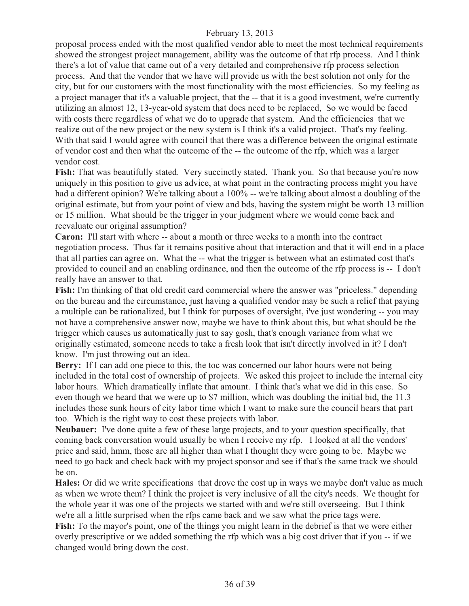proposal process ended with the most qualified vendor able to meet the most technical requirements showed the strongest project management, ability was the outcome of that rfp process. And I think there's a lot of value that came out of a very detailed and comprehensive rfp process selection process. And that the vendor that we have will provide us with the best solution not only for the city, but for our customers with the most functionality with the most efficiencies. So my feeling as a project manager that it's a valuable project, that the -- that it is a good investment, we're currently utilizing an almost 12, 13-year-old system that does need to be replaced, So we would be faced with costs there regardless of what we do to upgrade that system. And the efficiencies that we realize out of the new project or the new system is I think it's a valid project. That's my feeling. With that said I would agree with council that there was a difference between the original estimate of vendor cost and then what the outcome of the -- the outcome of the rfp, which was a larger vendor cost.

Fish: That was beautifully stated. Very succinctly stated. Thank you. So that because you're now uniquely in this position to give us advice, at what point in the contracting process might you have had a different opinion? We're talking about a 100% -- we're talking about almost a doubling of the original estimate, but from your point of view and bds, having the system might be worth 13 million or 15 million. What should be the trigger in your judgment where we would come back and reevaluate our original assumption?

**Caron:** I'll start with where -- about a month or three weeks to a month into the contract negotiation process. Thus far it remains positive about that interaction and that it will end in a place that all parties can agree on. What the -- what the trigger is between what an estimated cost that's provided to council and an enabling ordinance, and then the outcome of the rfp process is -- I don't really have an answer to that.

**Fish:** I'm thinking of that old credit card commercial where the answer was "priceless." depending on the bureau and the circumstance, just having a qualified vendor may be such a relief that paying a multiple can be rationalized, but I think for purposes of oversight, i've just wondering -- you may not have a comprehensive answer now, maybe we have to think about this, but what should be the trigger which causes us automatically just to say gosh, that's enough variance from what we originally estimated, someone needs to take a fresh look that isn't directly involved in it? I don't know. I'm just throwing out an idea.

Berry: If I can add one piece to this, the toc was concerned our labor hours were not being included in the total cost of ownership of projects. We asked this project to include the internal city labor hours. Which dramatically inflate that amount. I think that's what we did in this case. So even though we heard that we were up to \$7 million, which was doubling the initial bid, the 11.3 includes those sunk hours of city labor time which I want to make sure the council hears that part too. Which is the right way to cost these projects with labor.

**Neubauer:** I've done quite a few of these large projects, and to your question specifically, that coming back conversation would usually be when I receive my rfp. I looked at all the vendors' price and said, hmm, those are all higher than what I thought they were going to be. Maybe we need to go back and check back with my project sponsor and see if that's the same track we should be on.

**Hales:** Or did we write specifications that drove the cost up in ways we maybe don't value as much as when we wrote them? I think the project is very inclusive of all the city's needs. We thought for the whole year it was one of the projects we started with and we're still overseeing. But I think we're all a little surprised when the rfps came back and we saw what the price tags were. **Fish:** To the mayor's point, one of the things you might learn in the debrief is that we were either overly prescriptive or we added something the rfp which was a big cost driver that if you -- if we changed would bring down the cost.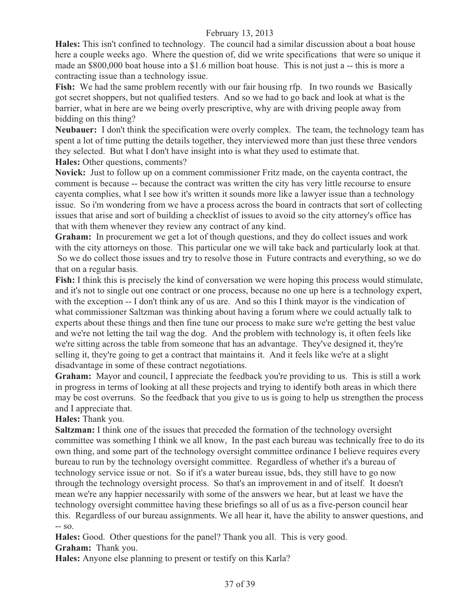**Hales:** This isn't confined to technology. The council had a similar discussion about a boat house here a couple weeks ago. Where the question of, did we write specifications that were so unique it made an \$800,000 boat house into a \$1.6 million boat house. This is not just a -- this is more a contracting issue than a technology issue.

Fish: We had the same problem recently with our fair housing rfp. In two rounds we Basically got secret shoppers, but not qualified testers. And so we had to go back and look at what is the barrier, what in here are we being overly prescriptive, why are with driving people away from bidding on this thing?

**Neubauer:** I don't think the specification were overly complex. The team, the technology team has spent a lot of time putting the details together, they interviewed more than just these three vendors they selected. But what I don't have insight into is what they used to estimate that. **Hales:** Other questions, comments?

**Novick:** Just to follow up on a comment commissioner Fritz made, on the cayenta contract, the comment is because -- because the contract was written the city has very little recourse to ensure cayenta complies, what I see how it's written it sounds more like a lawyer issue than a technology issue. So i'm wondering from we have a process across the board in contracts that sort of collecting issues that arise and sort of building a checklist of issues to avoid so the city attorney's office has that with them whenever they review any contract of any kind.

**Graham:** In procurement we get a lot of though questions, and they do collect issues and work with the city attorneys on those. This particular one we will take back and particularly look at that. So we do collect those issues and try to resolve those in Future contracts and everything, so we do that on a regular basis.

**Fish:** I think this is precisely the kind of conversation we were hoping this process would stimulate, and it's not to single out one contract or one process, because no one up here is a technology expert, with the exception -- I don't think any of us are. And so this I think mayor is the vindication of what commissioner Saltzman was thinking about having a forum where we could actually talk to experts about these things and then fine tune our process to make sure we're getting the best value and we're not letting the tail wag the dog. And the problem with technology is, it often feels like we're sitting across the table from someone that has an advantage. They've designed it, they're selling it, they're going to get a contract that maintains it. And it feels like we're at a slight disadvantage in some of these contract negotiations.

**Graham:** Mayor and council, I appreciate the feedback you're providing to us. This is still a work in progress in terms of looking at all these projects and trying to identify both areas in which there may be cost overruns. So the feedback that you give to us is going to help us strengthen the process and I appreciate that.

**Hales:** Thank you.

**Saltzman:** I think one of the issues that preceded the formation of the technology oversight committee was something I think we all know, In the past each bureau was technically free to do its own thing, and some part of the technology oversight committee ordinance I believe requires every bureau to run by the technology oversight committee. Regardless of whether it's a bureau of technology service issue or not. So if it's a water bureau issue, bds, they still have to go now through the technology oversight process. So that's an improvement in and of itself. It doesn't mean we're any happier necessarily with some of the answers we hear, but at least we have the technology oversight committee having these briefings so all of us as a five-person council hear this. Regardless of our bureau assignments. We all hear it, have the ability to answer questions, and -- so.

**Hales:** Good. Other questions for the panel? Thank you all. This is very good. **Graham:** Thank you.

**Hales:** Anyone else planning to present or testify on this Karla?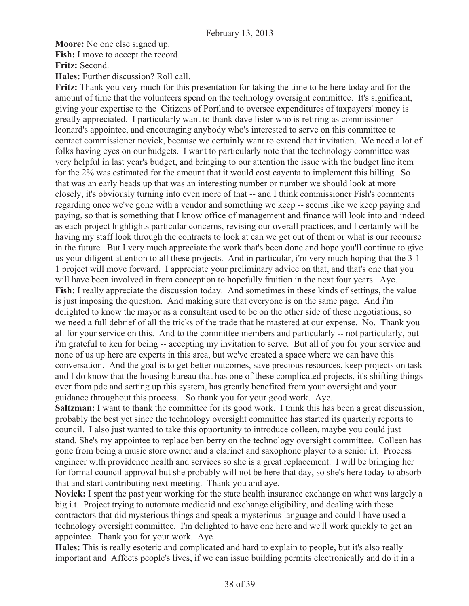**Moore:** No one else signed up.

**Fish:** I move to accept the record.

**Fritz:** Second.

**Hales:** Further discussion? Roll call.

**Fritz:** Thank you very much for this presentation for taking the time to be here today and for the amount of time that the volunteers spend on the technology oversight committee. It's significant, giving your expertise to the Citizens of Portland to oversee expenditures of taxpayers' money is greatly appreciated. I particularly want to thank dave lister who is retiring as commissioner leonard's appointee, and encouraging anybody who's interested to serve on this committee to contact commissioner novick, because we certainly want to extend that invitation. We need a lot of folks having eyes on our budgets. I want to particularly note that the technology committee was very helpful in last year's budget, and bringing to our attention the issue with the budget line item for the 2% was estimated for the amount that it would cost cayenta to implement this billing. So that was an early heads up that was an interesting number or number we should look at more closely, it's obviously turning into even more of that -- and I think commissioner Fish's comments regarding once we've gone with a vendor and something we keep -- seems like we keep paying and paying, so that is something that I know office of management and finance will look into and indeed as each project highlights particular concerns, revising our overall practices, and I certainly will be having my staff look through the contracts to look at can we get out of them or what is our recourse in the future. But I very much appreciate the work that's been done and hope you'll continue to give us your diligent attention to all these projects. And in particular, i'm very much hoping that the 3-1- 1 project will move forward. I appreciate your preliminary advice on that, and that's one that you will have been involved in from conception to hopefully fruition in the next four years. Aye. **Fish:** I really appreciate the discussion today. And sometimes in these kinds of settings, the value is just imposing the question. And making sure that everyone is on the same page. And i'm delighted to know the mayor as a consultant used to be on the other side of these negotiations, so we need a full debrief of all the tricks of the trade that he mastered at our expense. No. Thank you all for your service on this. And to the committee members and particularly -- not particularly, but i'm grateful to ken for being -- accepting my invitation to serve. But all of you for your service and none of us up here are experts in this area, but we've created a space where we can have this conversation. And the goal is to get better outcomes, save precious resources, keep projects on task and I do know that the housing bureau that has one of these complicated projects, it's shifting things over from pdc and setting up this system, has greatly benefited from your oversight and your guidance throughout this process. So thank you for your good work. Aye.

**Saltzman:** I want to thank the committee for its good work. I think this has been a great discussion, probably the best yet since the technology oversight committee has started its quarterly reports to council. I also just wanted to take this opportunity to introduce colleen, maybe you could just stand. She's my appointee to replace ben berry on the technology oversight committee. Colleen has gone from being a music store owner and a clarinet and saxophone player to a senior i.t. Process engineer with providence health and services so she is a great replacement. I will be bringing her for formal council approval but she probably will not be here that day, so she's here today to absorb that and start contributing next meeting. Thank you and aye.

**Novick:** I spent the past year working for the state health insurance exchange on what was largely a big i.t. Project trying to automate medicaid and exchange eligibility, and dealing with these contractors that did mysterious things and speak a mysterious language and could I have used a technology oversight committee. I'm delighted to have one here and we'll work quickly to get an appointee. Thank you for your work. Aye.

**Hales:** This is really esoteric and complicated and hard to explain to people, but it's also really important and Affects people's lives, if we can issue building permits electronically and do it in a